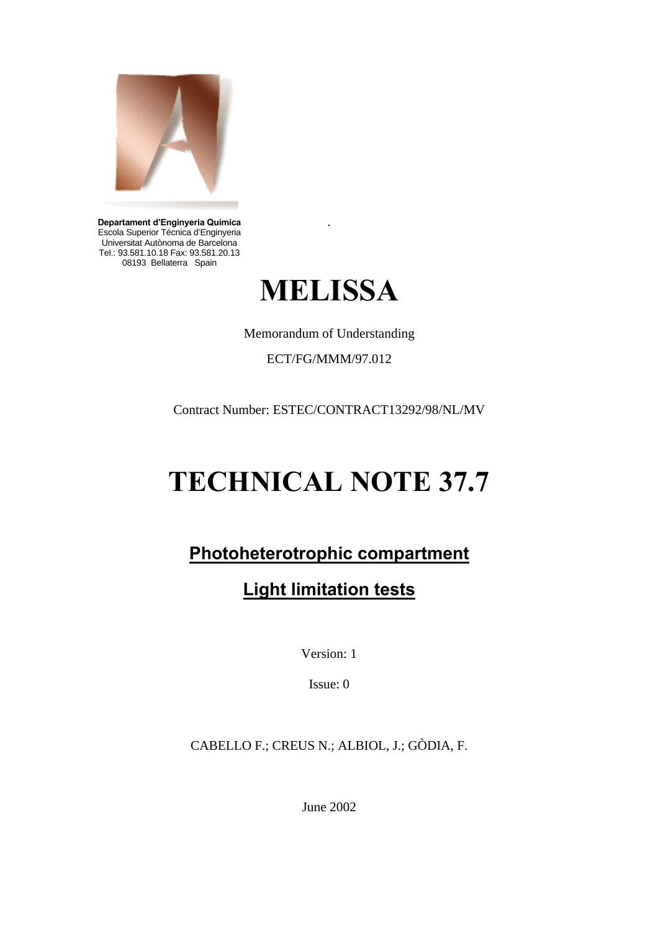

**Departament d'Enginyeria Química** Escola Superior Técnica d'Enginyeria Universitat Autònoma de Barcelona Tel.: 93.581.10.18 Fax: 93.581.20.13 08193 Bellaterra Spain



.

Memorandum of Understanding

ECT/FG/MMM/97.012

Contract Number: ESTEC/CONTRACT13292/98/NL/MV

# **TECHNICAL NOTE 37.7**

# **Photoheterotrophic compartment**

# **Light limitation tests**

Version: 1

Issue: 0

CABELLO F.; CREUS N.; ALBIOL, J.; GÒDIA, F.

June 2002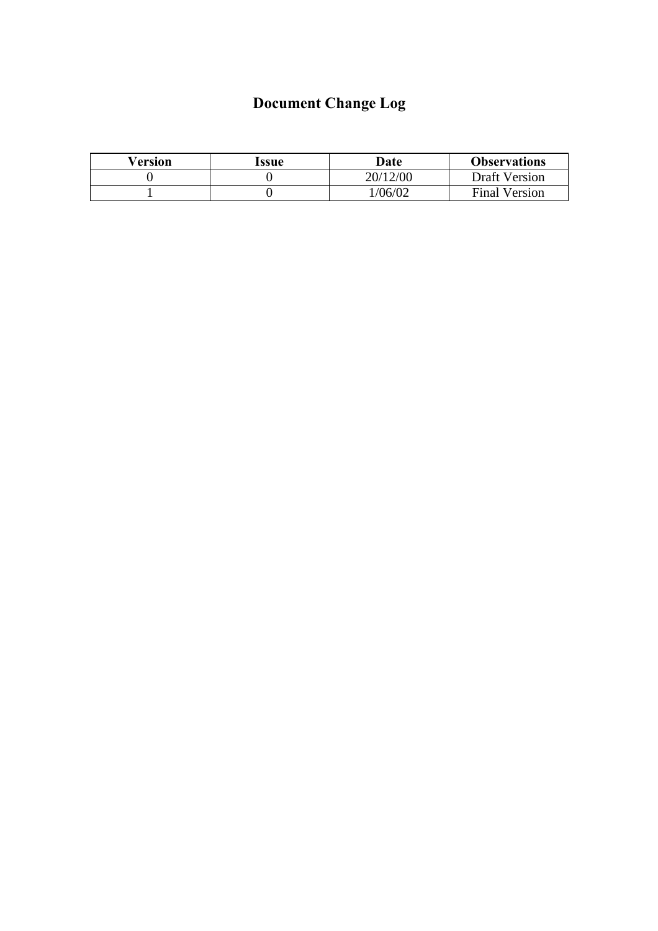# **Document Change Log**

| Version | Issue | Date     | <b>Observations</b>  |
|---------|-------|----------|----------------------|
|         |       | 20/12/00 | <b>Draft Version</b> |
|         |       | 1/06/02  | <b>Final Version</b> |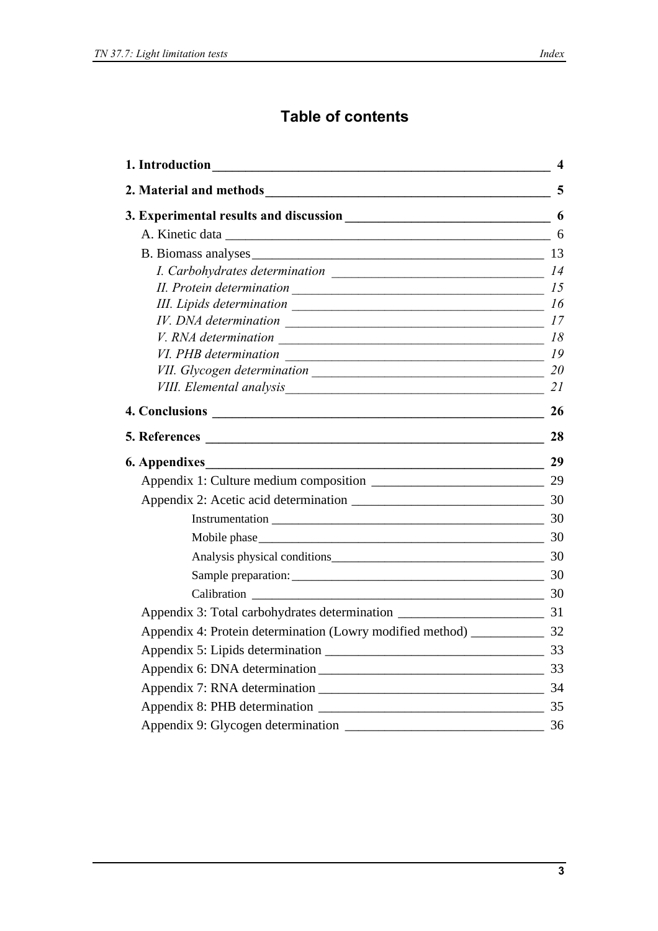## **Table of contents**

| 1. Introduction<br><u> 1980 - Johann Stoff, deutscher Stoffen und der Stoffen und der Stoffen und der Stoffen und der Stoffen und de</u> | 4  |
|------------------------------------------------------------------------------------------------------------------------------------------|----|
|                                                                                                                                          | 5  |
|                                                                                                                                          |    |
|                                                                                                                                          |    |
|                                                                                                                                          |    |
|                                                                                                                                          |    |
| II. Protein determination                                                                                                                | 15 |
| III. Lipids determination                                                                                                                | 16 |
|                                                                                                                                          |    |
|                                                                                                                                          |    |
|                                                                                                                                          |    |
|                                                                                                                                          |    |
|                                                                                                                                          | 21 |
|                                                                                                                                          | 26 |
|                                                                                                                                          | 28 |
| $\overline{\phantom{a}29}$<br><b>6. Appendixes</b>                                                                                       |    |
|                                                                                                                                          |    |
|                                                                                                                                          |    |
|                                                                                                                                          |    |
| Mobile phase 30                                                                                                                          |    |
| Analysis physical conditions 30                                                                                                          |    |
| Sample preparation: 30                                                                                                                   |    |
| Calibration 2000 30                                                                                                                      |    |
|                                                                                                                                          |    |
|                                                                                                                                          |    |
|                                                                                                                                          |    |
|                                                                                                                                          |    |
|                                                                                                                                          |    |
|                                                                                                                                          |    |
|                                                                                                                                          |    |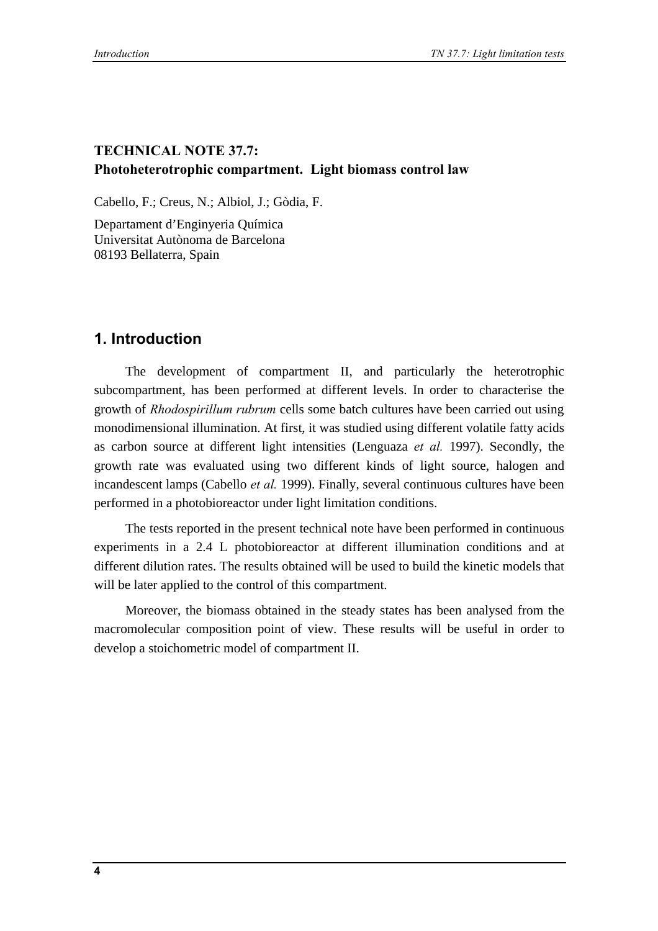### **TECHNICAL NOTE 37.7: Photoheterotrophic compartment. Light biomass control law**

Cabello, F.; Creus, N.; Albiol, J.; Gòdia, F.

Departament d'Enginyeria Química Universitat Autònoma de Barcelona 08193 Bellaterra, Spain

### **1. Introduction**

The development of compartment II, and particularly the heterotrophic subcompartment, has been performed at different levels. In order to characterise the growth of *Rhodospirillum rubrum* cells some batch cultures have been carried out using monodimensional illumination. At first, it was studied using different volatile fatty acids as carbon source at different light intensities (Lenguaza *et al.* 1997). Secondly, the growth rate was evaluated using two different kinds of light source, halogen and incandescent lamps (Cabello *et al.* 1999). Finally, several continuous cultures have been performed in a photobioreactor under light limitation conditions.

The tests reported in the present technical note have been performed in continuous experiments in a 2.4 L photobioreactor at different illumination conditions and at different dilution rates. The results obtained will be used to build the kinetic models that will be later applied to the control of this compartment.

Moreover, the biomass obtained in the steady states has been analysed from the macromolecular composition point of view. These results will be useful in order to develop a stoichometric model of compartment II.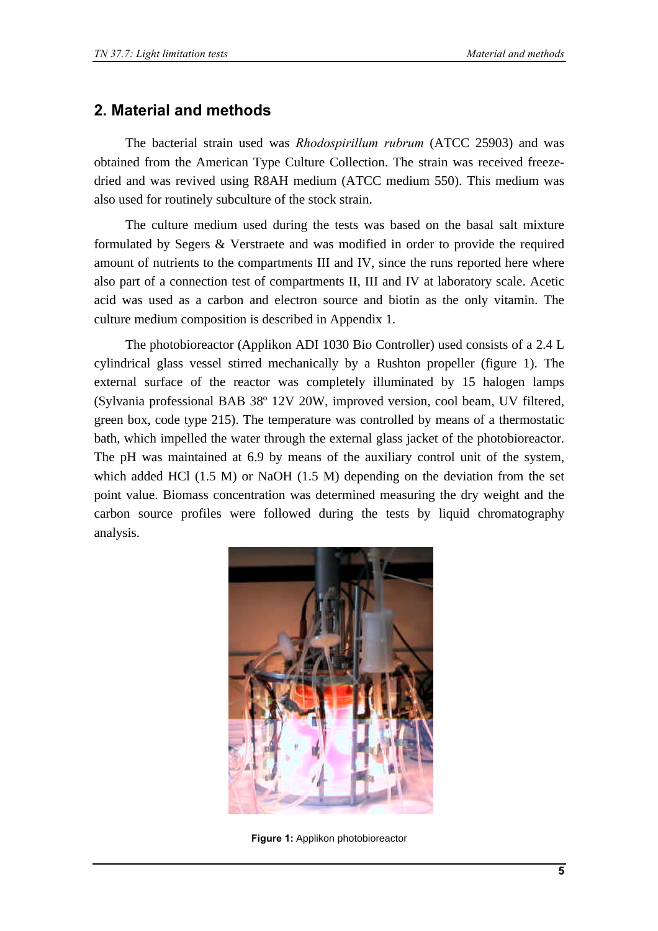### **2. Material and methods**

The bacterial strain used was *Rhodospirillum rubrum* (ATCC 25903) and was obtained from the American Type Culture Collection. The strain was received freezedried and was revived using R8AH medium (ATCC medium 550). This medium was also used for routinely subculture of the stock strain.

The culture medium used during the tests was based on the basal salt mixture formulated by Segers & Verstraete and was modified in order to provide the required amount of nutrients to the compartments III and IV, since the runs reported here where also part of a connection test of compartments II, III and IV at laboratory scale. Acetic acid was used as a carbon and electron source and biotin as the only vitamin. The culture medium composition is described in Appendix 1.

The photobioreactor (Applikon ADI 1030 Bio Controller) used consists of a 2.4 L cylindrical glass vessel stirred mechanically by a Rushton propeller (figure 1). The external surface of the reactor was completely illuminated by 15 halogen lamps (Sylvania professional BAB 38º 12V 20W, improved version, cool beam, UV filtered, green box, code type 215). The temperature was controlled by means of a thermostatic bath, which impelled the water through the external glass jacket of the photobioreactor. The pH was maintained at 6.9 by means of the auxiliary control unit of the system, which added HCl (1.5 M) or NaOH (1.5 M) depending on the deviation from the set point value. Biomass concentration was determined measuring the dry weight and the carbon source profiles were followed during the tests by liquid chromatography analysis.



**Figure 1:** Applikon photobioreactor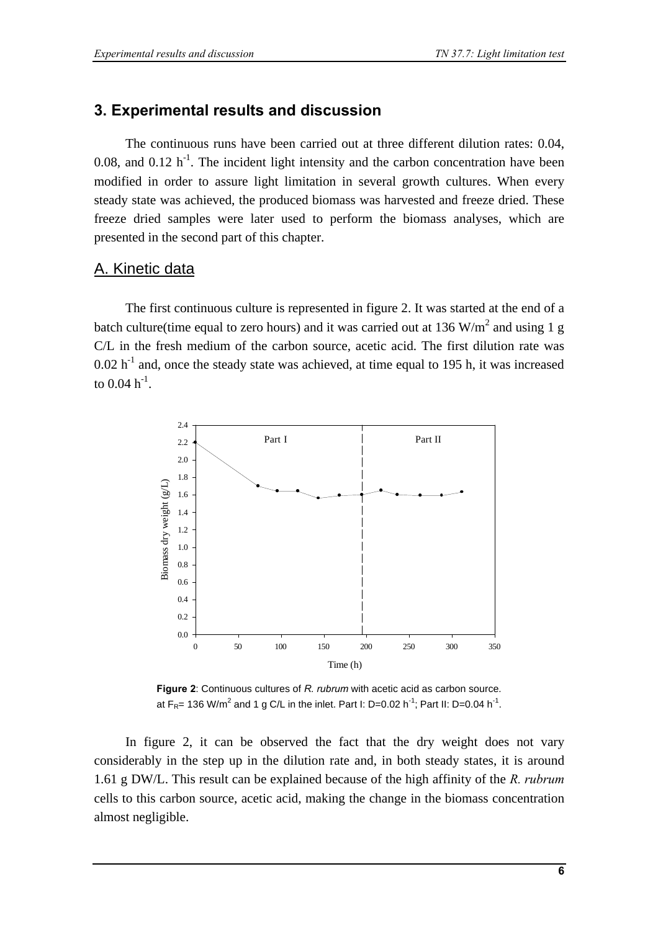### **3. Experimental results and discussion**

The continuous runs have been carried out at three different dilution rates: 0.04, 0.08, and 0.12  $h^{-1}$ . The incident light intensity and the carbon concentration have been modified in order to assure light limitation in several growth cultures. When every steady state was achieved, the produced biomass was harvested and freeze dried. These freeze dried samples were later used to perform the biomass analyses, which are presented in the second part of this chapter.

### A. Kinetic data

The first continuous culture is represented in figure 2. It was started at the end of a batch culture(time equal to zero hours) and it was carried out at 136  $W/m<sup>2</sup>$  and using 1 g C/L in the fresh medium of the carbon source, acetic acid. The first dilution rate was  $0.02$  h<sup>-1</sup> and, once the steady state was achieved, at time equal to 195 h, it was increased to  $0.04 \; h^{-1}$ .



**Figure 2**: Continuous cultures of *R. rubrum* with acetic acid as carbon source*.* at F<sub>R</sub>= 136 W/m<sup>2</sup> and 1 g C/L in the inlet. Part I: D=0.02 h<sup>-1</sup>; Part II: D=0.04 h<sup>-1</sup>.

In figure 2, it can be observed the fact that the dry weight does not vary considerably in the step up in the dilution rate and, in both steady states, it is around 1.61 g DW/L. This result can be explained because of the high affinity of the *R. rubrum* cells to this carbon source, acetic acid, making the change in the biomass concentration almost negligible.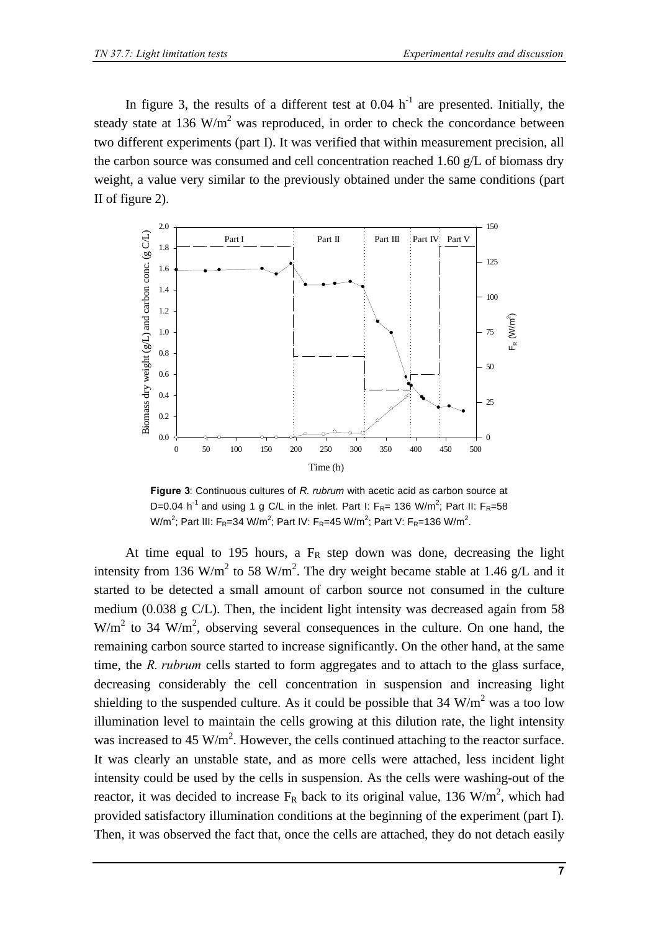In figure 3, the results of a different test at  $0.04 \text{ h}^{-1}$  are presented. Initially, the steady state at 136  $W/m^2$  was reproduced, in order to check the concordance between two different experiments (part I). It was verified that within measurement precision, all the carbon source was consumed and cell concentration reached 1.60 g/L of biomass dry weight, a value very similar to the previously obtained under the same conditions (part II of figure 2).



**Figure 3**: Continuous cultures of *R. rubrum* with acetic acid as carbon source at D=0.04 h<sup>-1</sup> and using 1 g C/L in the inlet. Part I:  $F_{R}$ = 136 W/m<sup>2</sup>; Part II:  $F_{R}$ =58 W/m<sup>2</sup>; Part III: F<sub>R</sub>=34 W/m<sup>2</sup>; Part IV: F<sub>R</sub>=45 W/m<sup>2</sup>; Part V: F<sub>R</sub>=136 W/m<sup>2</sup>.

At time equal to 195 hours, a  $F_R$  step down was done, decreasing the light intensity from 136 W/m<sup>2</sup> to 58 W/m<sup>2</sup>. The dry weight became stable at 1.46 g/L and it started to be detected a small amount of carbon source not consumed in the culture medium (0.038 g C/L). Then, the incident light intensity was decreased again from 58  $W/m<sup>2</sup>$  to 34 W/m<sup>2</sup>, observing several consequences in the culture. On one hand, the remaining carbon source started to increase significantly. On the other hand, at the same time, the *R. rubrum* cells started to form aggregates and to attach to the glass surface, decreasing considerably the cell concentration in suspension and increasing light shielding to the suspended culture. As it could be possible that  $34 \text{ W/m}^2$  was a too low illumination level to maintain the cells growing at this dilution rate, the light intensity was increased to 45 W/m<sup>2</sup>. However, the cells continued attaching to the reactor surface. It was clearly an unstable state, and as more cells were attached, less incident light intensity could be used by the cells in suspension. As the cells were washing-out of the reactor, it was decided to increase  $F_R$  back to its original value, 136 W/m<sup>2</sup>, which had provided satisfactory illumination conditions at the beginning of the experiment (part I). Then, it was observed the fact that, once the cells are attached, they do not detach easily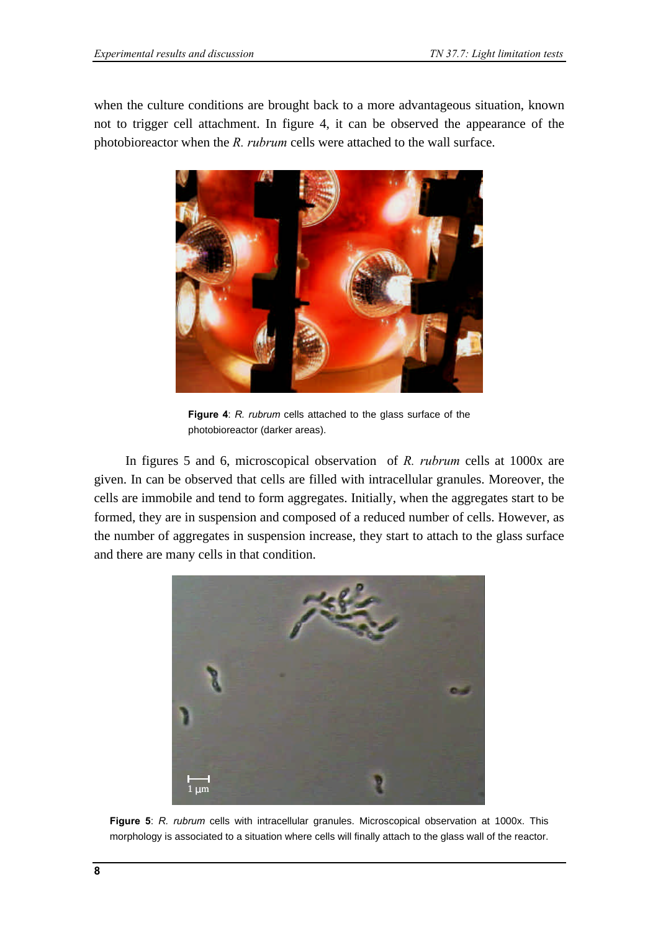when the culture conditions are brought back to a more advantageous situation, known not to trigger cell attachment. In figure 4, it can be observed the appearance of the photobioreactor when the *R. rubrum* cells were attached to the wall surface.



**Figure 4**: *R. rubrum* cells attached to the glass surface of the photobioreactor (darker areas).

In figures 5 and 6, microscopical observation of *R. rubrum* cells at 1000x are given. In can be observed that cells are filled with intracellular granules. Moreover, the cells are immobile and tend to form aggregates. Initially, when the aggregates start to be formed, they are in suspension and composed of a reduced number of cells. However, as the number of aggregates in suspension increase, they start to attach to the glass surface and there are many cells in that condition.



**Figure 5**: *R. rubrum* cells with intracellular granules. Microscopical observation at 1000x. This morphology is associated to a situation where cells will finally attach to the glass wall of the reactor.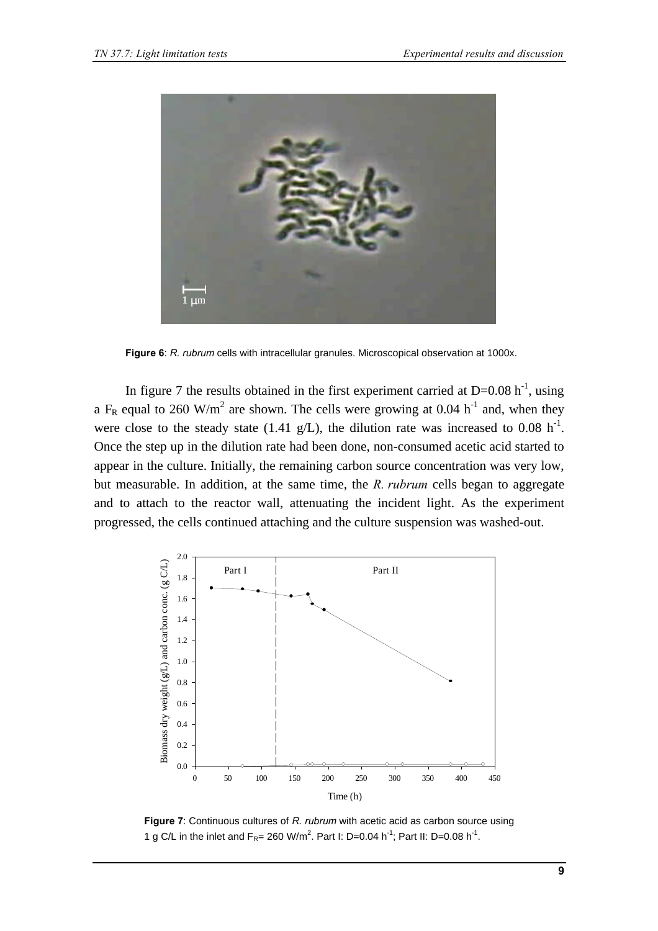

**Figure 6**: *R. rubrum* cells with intracellular granules. Microscopical observation at 1000x.

In figure 7 the results obtained in the first experiment carried at  $D=0.08$  h<sup>-1</sup>, using a F<sub>R</sub> equal to 260 W/m<sup>2</sup> are shown. The cells were growing at 0.04 h<sup>-1</sup> and, when they were close to the steady state (1.41 g/L), the dilution rate was increased to 0.08 h<sup>-1</sup>. Once the step up in the dilution rate had been done, non-consumed acetic acid started to appear in the culture. Initially, the remaining carbon source concentration was very low, but measurable. In addition, at the same time, the *R. rubrum* cells began to aggregate and to attach to the reactor wall, attenuating the incident light. As the experiment progressed, the cells continued attaching and the culture suspension was washed-out.



**Figure 7**: Continuous cultures of *R. rubrum* with acetic acid as carbon source using 1 g C/L in the inlet and  $F_R = 260$  W/m<sup>2</sup>. Part I: D=0.04 h<sup>-1</sup>; Part II: D=0.08 h<sup>-1</sup>.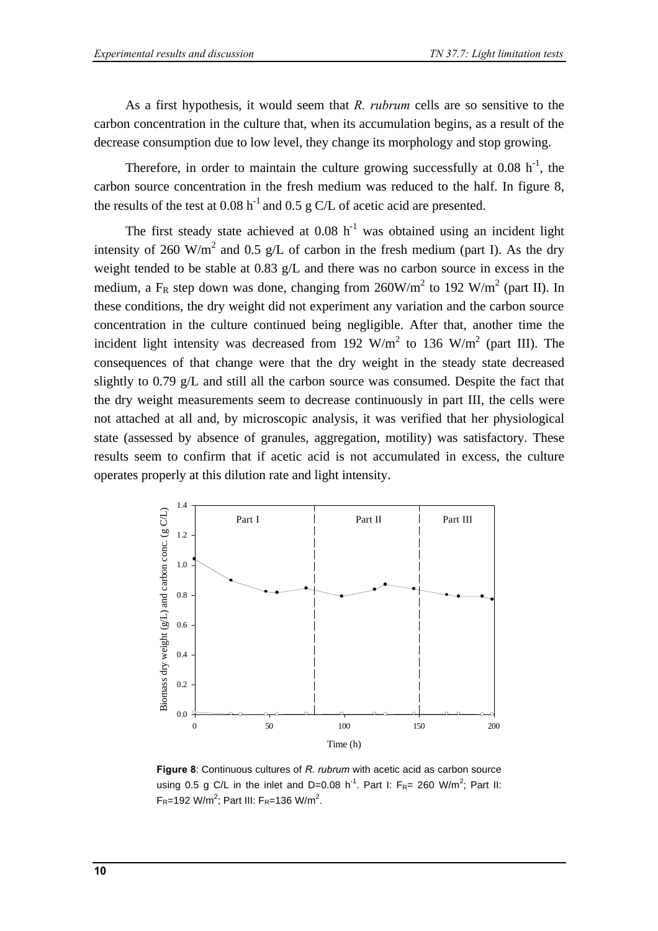As a first hypothesis, it would seem that *R. rubrum* cells are so sensitive to the carbon concentration in the culture that, when its accumulation begins, as a result of the decrease consumption due to low level, they change its morphology and stop growing.

Therefore, in order to maintain the culture growing successfully at  $0.08 \text{ h}^{-1}$ , the carbon source concentration in the fresh medium was reduced to the half. In figure 8, the results of the test at  $0.08 h^{-1}$  and  $0.5 g$  C/L of acetic acid are presented.

The first steady state achieved at  $0.08 \; h^{-1}$  was obtained using an incident light intensity of 260 W/m<sup>2</sup> and 0.5 g/L of carbon in the fresh medium (part I). As the dry weight tended to be stable at 0.83 g/L and there was no carbon source in excess in the medium, a F<sub>R</sub> step down was done, changing from  $260W/m^2$  to 192 W/m<sup>2</sup> (part II). In these conditions, the dry weight did not experiment any variation and the carbon source concentration in the culture continued being negligible. After that, another time the incident light intensity was decreased from 192 W/m<sup>2</sup> to 136 W/m<sup>2</sup> (part III). The consequences of that change were that the dry weight in the steady state decreased slightly to 0.79 g/L and still all the carbon source was consumed. Despite the fact that the dry weight measurements seem to decrease continuously in part III, the cells were not attached at all and, by microscopic analysis, it was verified that her physiological state (assessed by absence of granules, aggregation, motility) was satisfactory. These results seem to confirm that if acetic acid is not accumulated in excess, the culture operates properly at this dilution rate and light intensity.



**Figure 8**: Continuous cultures of *R. rubrum* with acetic acid as carbon source using 0.5 g C/L in the inlet and D=0.08 h<sup>-1</sup>. Part I: F<sub>R</sub>= 260 W/m<sup>2</sup>; Part II:  $F_R = 192$  W/m<sup>2</sup>; Part III:  $F_R = 136$  W/m<sup>2</sup>.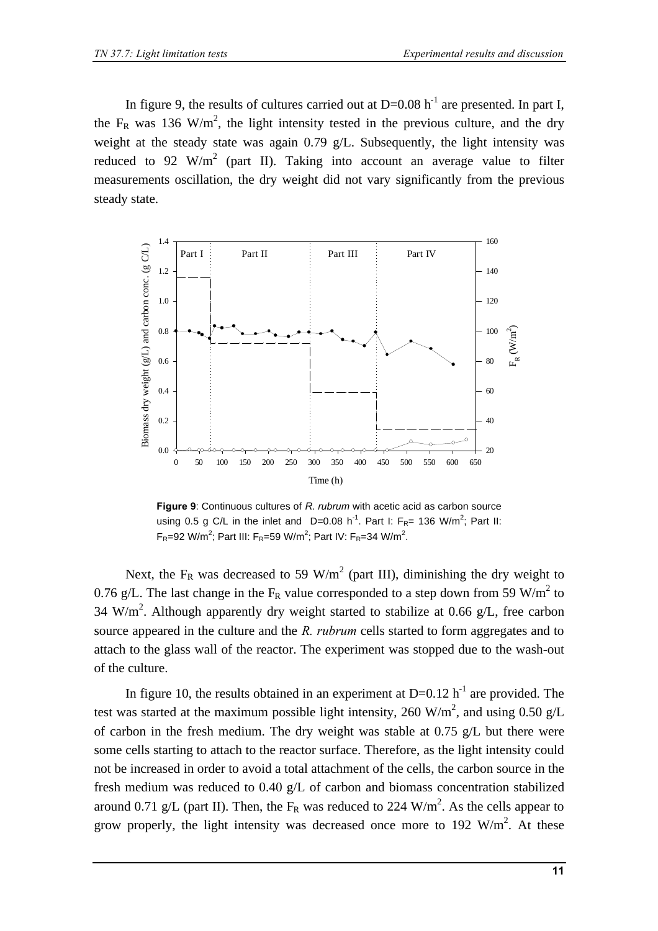In figure 9, the results of cultures carried out at  $D=0.08$  h<sup>-1</sup> are presented. In part I, the  $F_R$  was 136 W/m<sup>2</sup>, the light intensity tested in the previous culture, and the dry weight at the steady state was again  $0.79$  g/L. Subsequently, the light intensity was reduced to 92 W/m<sup>2</sup> (part II). Taking into account an average value to filter measurements oscillation, the dry weight did not vary significantly from the previous steady state.



**Figure 9**: Continuous cultures of *R. rubrum* with acetic acid as carbon source using 0.5 g C/L in the inlet and D=0.08 h<sup>-1</sup>. Part I: F<sub>R</sub>= 136 W/m<sup>2</sup>; Part II:  $F_R = 92$  W/m<sup>2</sup>; Part III:  $F_R = 59$  W/m<sup>2</sup>; Part IV:  $F_R = 34$  W/m<sup>2</sup>.

Next, the  $F_R$  was decreased to 59 W/m<sup>2</sup> (part III), diminishing the dry weight to 0.76 g/L. The last change in the  $F_R$  value corresponded to a step down from 59 W/m<sup>2</sup> to 34 W/m<sup>2</sup>. Although apparently dry weight started to stabilize at 0.66 g/L, free carbon source appeared in the culture and the *R. rubrum* cells started to form aggregates and to attach to the glass wall of the reactor. The experiment was stopped due to the wash-out of the culture.

In figure 10, the results obtained in an experiment at  $D=0.12$  h<sup>-1</sup> are provided. The test was started at the maximum possible light intensity, 260 W/m<sup>2</sup>, and using 0.50 g/L of carbon in the fresh medium. The dry weight was stable at 0.75 g/L but there were some cells starting to attach to the reactor surface. Therefore, as the light intensity could not be increased in order to avoid a total attachment of the cells, the carbon source in the fresh medium was reduced to 0.40 g/L of carbon and biomass concentration stabilized around 0.71 g/L (part II). Then, the  $F_R$  was reduced to 224 W/m<sup>2</sup>. As the cells appear to grow properly, the light intensity was decreased once more to 192  $W/m^2$ . At these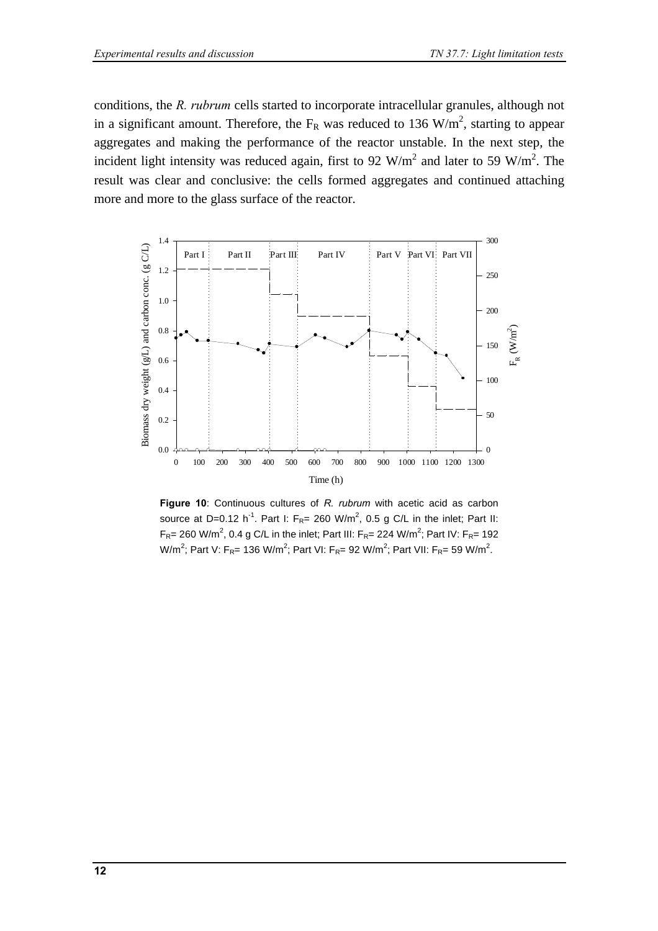conditions, the *R. rubrum* cells started to incorporate intracellular granules, although not in a significant amount. Therefore, the  $F_R$  was reduced to 136 W/m<sup>2</sup>, starting to appear aggregates and making the performance of the reactor unstable. In the next step, the incident light intensity was reduced again, first to 92 W/m<sup>2</sup> and later to 59 W/m<sup>2</sup>. The result was clear and conclusive: the cells formed aggregates and continued attaching more and more to the glass surface of the reactor.



**Figure 10**: Continuous cultures of *R. rubrum* with acetic acid as carbon source at D=0.12 h<sup>-1</sup>. Part I:  $F_{R}$ = 260 W/m<sup>2</sup>, 0.5 g C/L in the inlet; Part II: F<sub>R</sub>= 260 W/m<sup>2</sup>, 0.4 g C/L in the inlet; Part III: F<sub>R</sub>= 224 W/m<sup>2</sup>; Part IV: F<sub>R</sub>= 192 W/m<sup>2</sup>; Part V: F<sub>R</sub>= 136 W/m<sup>2</sup>; Part VI: F<sub>R</sub>= 92 W/m<sup>2</sup>; Part VII: F<sub>R</sub>= 59 W/m<sup>2</sup>.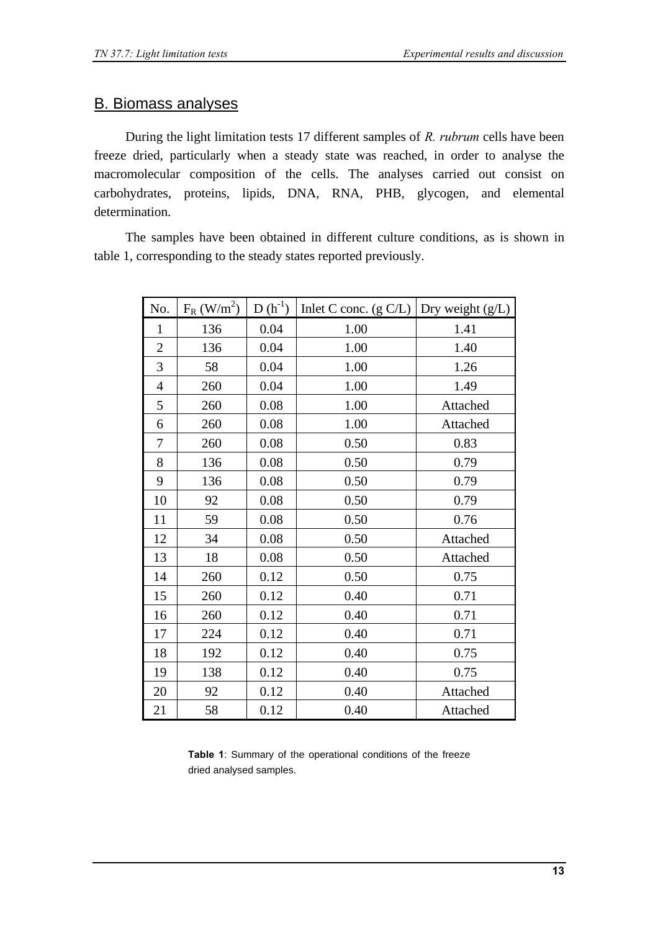### B. Biomass analyses

During the light limitation tests 17 different samples of *R. rubrum* cells have been freeze dried, particularly when a steady state was reached, in order to analyse the macromolecular composition of the cells. The analyses carried out consist on carbohydrates, proteins, lipids, DNA, RNA, PHB, glycogen, and elemental determination.

The samples have been obtained in different culture conditions, as is shown in table 1, corresponding to the steady states reported previously.

| No.            | $F_R$ (W/m <sup>2</sup> ) | $D(h^{-1})$ | Inlet C conc. $(g C/L)$ | Dry weight $(g/L)$ |
|----------------|---------------------------|-------------|-------------------------|--------------------|
| $\mathbf{1}$   | 136                       | 0.04        | 1.00                    | 1.41               |
| $\overline{c}$ | 136                       | 0.04        | 1.00                    | 1.40               |
| 3              | 58                        | 0.04        | 1.00                    | 1.26               |
| $\overline{4}$ | 260                       | 0.04        | 1.00                    | 1.49               |
| 5              | 260                       | 0.08        | 1.00                    | Attached           |
| 6              | 260                       | 0.08        | 1.00                    | Attached           |
| 7              | 260                       | 0.08        | 0.50                    | 0.83               |
| 8              | 136                       | 0.08        | 0.50                    | 0.79               |
| 9              | 136                       | 0.08        | 0.50                    | 0.79               |
| 10             | 92                        | 0.08        | 0.50                    | 0.79               |
| 11             | 59                        | 0.08        | 0.50                    | 0.76               |
| 12             | 34                        | 0.08        | 0.50                    | Attached           |
| 13             | 18                        | 0.08        | 0.50                    | Attached           |
| 14             | 260                       | 0.12        | 0.50                    | 0.75               |
| 15             | 260                       | 0.12        | 0.40                    | 0.71               |
| 16             | 260                       | 0.12        | 0.40                    | 0.71               |
| 17             | 224                       | 0.12        | 0.40                    | 0.71               |
| 18             | 192                       | 0.12        | 0.40                    | 0.75               |
| 19             | 138                       | 0.12        | 0.40                    | 0.75               |
| 20             | 92                        | 0.12        | 0.40                    | Attached           |
| 21             | 58                        | 0.12        | 0.40                    | Attached           |

**Table 1**: Summary of the operational conditions of the freeze dried analysed samples.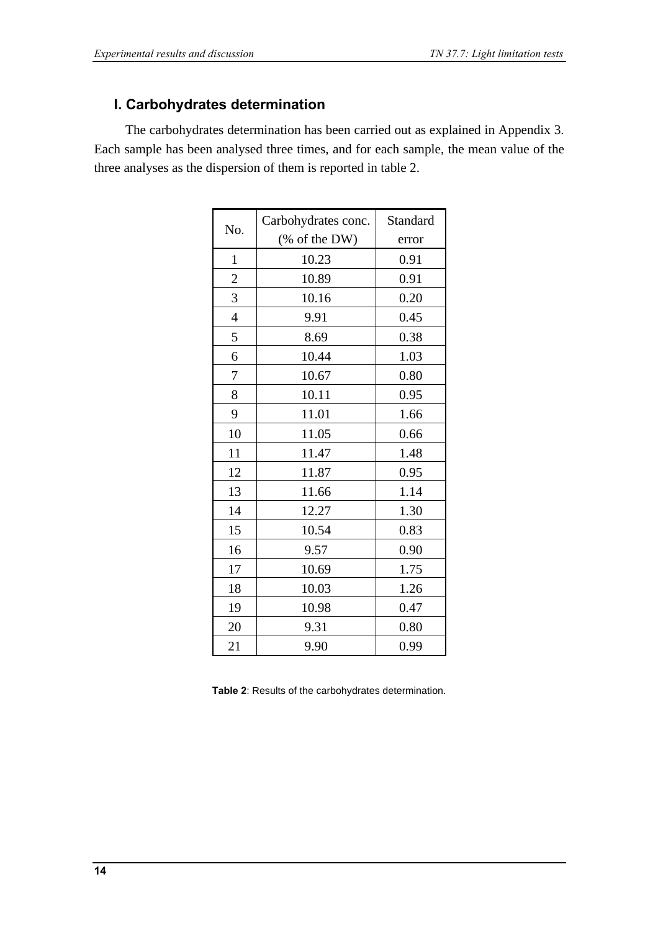# **I. Carbohydrates determination**

The carbohydrates determination has been carried out as explained in Appendix 3. Each sample has been analysed three times, and for each sample, the mean value of the three analyses as the dispersion of them is reported in table 2.

|                | Carbohydrates conc. | Standard |
|----------------|---------------------|----------|
| No.            | (% of the DW)       | error    |
| $\mathbf{1}$   | 10.23               | 0.91     |
| $\overline{c}$ | 10.89               | 0.91     |
| 3              | 10.16               | 0.20     |
| $\overline{4}$ | 9.91                | 0.45     |
| 5              | 8.69                | 0.38     |
| 6              | 10.44               | 1.03     |
| 7              | 10.67               | 0.80     |
| 8              | 10.11               | 0.95     |
| 9              | 11.01               | 1.66     |
| 10             | 11.05               | 0.66     |
| 11             | 11.47               | 1.48     |
| 12             | 11.87               | 0.95     |
| 13             | 11.66               | 1.14     |
| 14             | 12.27               | 1.30     |
| 15             | 10.54               | 0.83     |
| 16             | 9.57                | 0.90     |
| 17             | 10.69               | 1.75     |
| 18             | 10.03               | 1.26     |
| 19             | 10.98               | 0.47     |
| 20             | 9.31                | 0.80     |
| 21             | 9.90                | 0.99     |

**Table 2**: Results of the carbohydrates determination.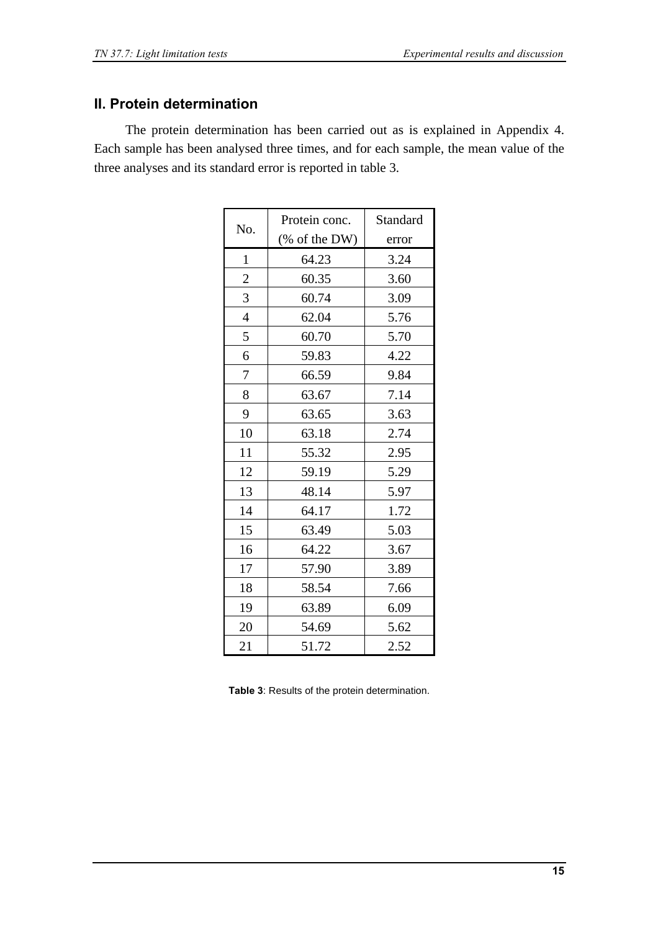### **II. Protein determination**

The protein determination has been carried out as is explained in Appendix 4. Each sample has been analysed three times, and for each sample, the mean value of the three analyses and its standard error is reported in table 3.

| No.              | Protein conc.<br>(% of the DW) | Standard<br>error |
|------------------|--------------------------------|-------------------|
| $\mathbf{1}$     | 64.23                          | 3.24              |
| $\boldsymbol{2}$ | 60.35                          | 3.60              |
| 3                | 60.74                          | 3.09              |
| $\overline{4}$   | 62.04                          | 5.76              |
| 5                | 60.70                          | 5.70              |
| 6                | 59.83                          | 4.22              |
| 7                | 66.59                          | 9.84              |
| 8                | 63.67                          | 7.14              |
| 9                | 63.65                          | 3.63              |
| 10               | 63.18                          | 2.74              |
| 11               | 55.32                          | 2.95              |
| 12               | 59.19                          | 5.29              |
| 13               | 48.14                          | 5.97              |
| 14               | 64.17                          | 1.72              |
| 15               | 63.49                          | 5.03              |
| 16               | 64.22                          | 3.67              |
| 17               | 57.90                          | 3.89              |
| 18               | 58.54                          | 7.66              |
| 19               | 63.89                          | 6.09              |
| 20               | 54.69                          | 5.62              |
| 21               | 51.72                          | 2.52              |

**Table 3**: Results of the protein determination.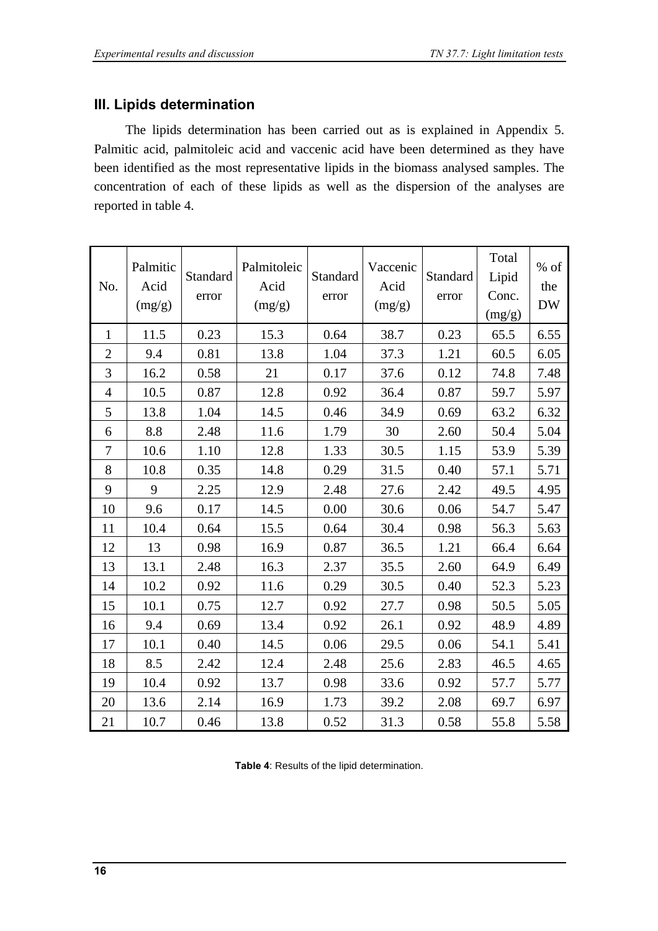### **III. Lipids determination**

The lipids determination has been carried out as is explained in Appendix 5. Palmitic acid, palmitoleic acid and vaccenic acid have been determined as they have been identified as the most representative lipids in the biomass analysed samples. The concentration of each of these lipids as well as the dispersion of the analyses are reported in table 4.

| No.            | Palmitic<br>Acid<br>(mg/g) | Standard<br>error | Palmitoleic<br>Acid<br>(mg/g) | Standard<br>error | Vaccenic<br>Acid<br>(mg/g) | Standard<br>error | Total<br>Lipid<br>Conc.<br>(mg/g) | % of<br>the<br><b>DW</b> |
|----------------|----------------------------|-------------------|-------------------------------|-------------------|----------------------------|-------------------|-----------------------------------|--------------------------|
| $\mathbf{1}$   | 11.5                       | 0.23              | 15.3                          | 0.64              | 38.7                       | 0.23              | 65.5                              | 6.55                     |
| $\overline{2}$ | 9.4                        | 0.81              | 13.8                          | 1.04              | 37.3                       | 1.21              | 60.5                              | 6.05                     |
| 3              | 16.2                       | 0.58              | 21                            | 0.17              | 37.6                       | 0.12              | 74.8                              | 7.48                     |
| $\overline{4}$ | 10.5                       | 0.87              | 12.8                          | 0.92              | 36.4                       | 0.87              | 59.7                              | 5.97                     |
| 5              | 13.8                       | 1.04              | 14.5                          | 0.46              | 34.9                       | 0.69              | 63.2                              | 6.32                     |
| 6              | 8.8                        | 2.48              | 11.6                          | 1.79              | 30                         | 2.60              | 50.4                              | 5.04                     |
| 7              | 10.6                       | 1.10              | 12.8                          | 1.33              | 30.5                       | 1.15              | 53.9                              | 5.39                     |
| 8              | 10.8                       | 0.35              | 14.8                          | 0.29              | 31.5                       | 0.40              | 57.1                              | 5.71                     |
| 9              | 9                          | 2.25              | 12.9                          | 2.48              | 27.6                       | 2.42              | 49.5                              | 4.95                     |
| 10             | 9.6                        | 0.17              | 14.5                          | 0.00              | 30.6                       | 0.06              | 54.7                              | 5.47                     |
| 11             | 10.4                       | 0.64              | 15.5                          | 0.64              | 30.4                       | 0.98              | 56.3                              | 5.63                     |
| 12             | 13                         | 0.98              | 16.9                          | 0.87              | 36.5                       | 1.21              | 66.4                              | 6.64                     |
| 13             | 13.1                       | 2.48              | 16.3                          | 2.37              | 35.5                       | 2.60              | 64.9                              | 6.49                     |
| 14             | 10.2                       | 0.92              | 11.6                          | 0.29              | 30.5                       | 0.40              | 52.3                              | 5.23                     |
| 15             | 10.1                       | 0.75              | 12.7                          | 0.92              | 27.7                       | 0.98              | 50.5                              | 5.05                     |
| 16             | 9.4                        | 0.69              | 13.4                          | 0.92              | 26.1                       | 0.92              | 48.9                              | 4.89                     |
| 17             | 10.1                       | 0.40              | 14.5                          | 0.06              | 29.5                       | 0.06              | 54.1                              | 5.41                     |
| 18             | 8.5                        | 2.42              | 12.4                          | 2.48              | 25.6                       | 2.83              | 46.5                              | 4.65                     |
| 19             | 10.4                       | 0.92              | 13.7                          | 0.98              | 33.6                       | 0.92              | 57.7                              | 5.77                     |
| 20             | 13.6                       | 2.14              | 16.9                          | 1.73              | 39.2                       | 2.08              | 69.7                              | 6.97                     |
| 21             | 10.7                       | 0.46              | 13.8                          | 0.52              | 31.3                       | 0.58              | 55.8                              | 5.58                     |

**Table 4**: Results of the lipid determination.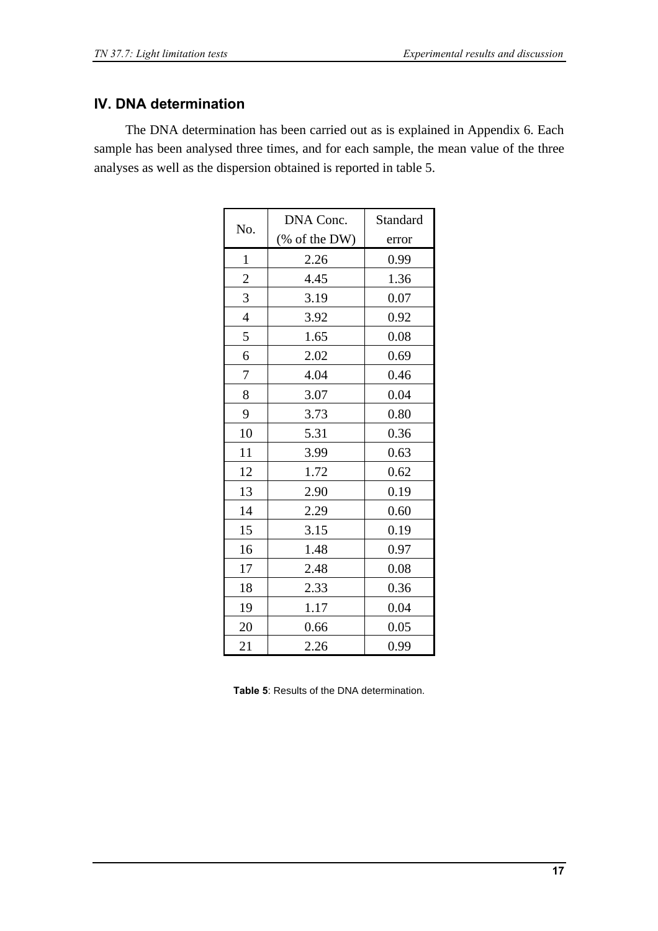### **IV. DNA determination**

The DNA determination has been carried out as is explained in Appendix 6. Each sample has been analysed three times, and for each sample, the mean value of the three analyses as well as the dispersion obtained is reported in table 5.

| No.            | DNA Conc.      | Standard |
|----------------|----------------|----------|
|                | $%$ of the DW) | error    |
| $\mathbf{1}$   | 2.26           | 0.99     |
| $\overline{c}$ | 4.45           | 1.36     |
| 3              | 3.19           | 0.07     |
| $\overline{4}$ | 3.92           | 0.92     |
| 5              | 1.65           | 0.08     |
| 6              | 2.02           | 0.69     |
| 7              | 4.04           | 0.46     |
| 8              | 3.07           | 0.04     |
| 9              | 3.73           | 0.80     |
| 10             | 5.31           | 0.36     |
| 11             | 3.99           | 0.63     |
| 12             | 1.72           | 0.62     |
| 13             | 2.90           | 0.19     |
| 14             | 2.29           | 0.60     |
| 15             | 3.15           | 0.19     |
| 16             | 1.48           | 0.97     |
| 17             | 2.48           | 0.08     |
| 18             | 2.33           | 0.36     |
| 19             | 1.17           | 0.04     |
| 20             | 0.66           | 0.05     |
| 21             | 2.26           | 0.99     |

**Table 5**: Results of the DNA determination.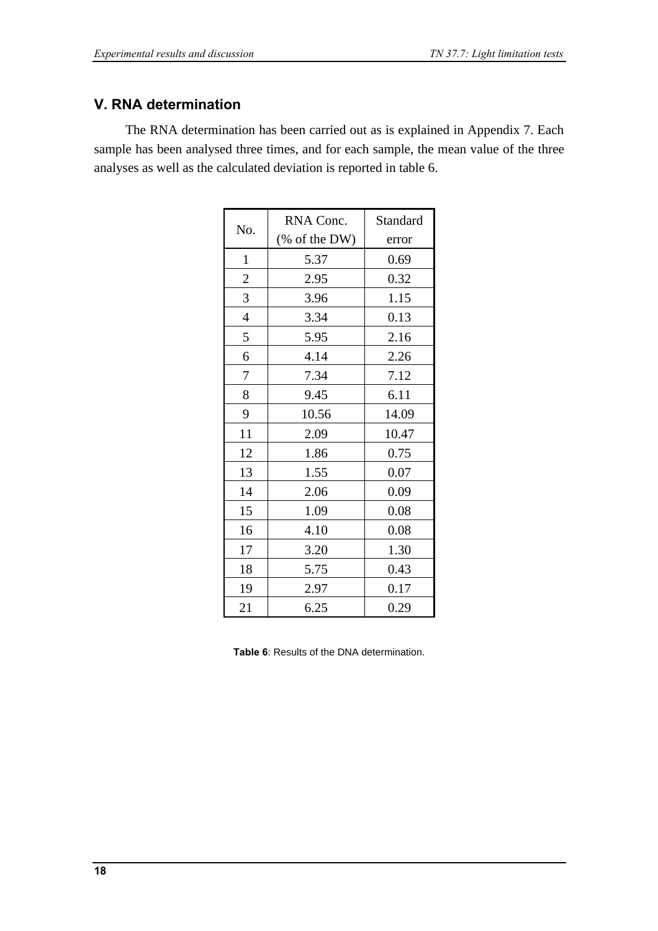### **V. RNA determination**

The RNA determination has been carried out as is explained in Appendix 7. Each sample has been analysed three times, and for each sample, the mean value of the three analyses as well as the calculated deviation is reported in table 6.

| No.            | RNA Conc.     | Standard |
|----------------|---------------|----------|
|                | (% of the DW) | error    |
| $\mathbf{1}$   | 5.37          | 0.69     |
| $\overline{c}$ | 2.95          | 0.32     |
| $\mathfrak{Z}$ | 3.96          | 1.15     |
| $\overline{4}$ | 3.34          | 0.13     |
| 5              | 5.95          | 2.16     |
| 6              | 4.14          | 2.26     |
| 7              | 7.34          | 7.12     |
| 8              | 9.45          | 6.11     |
| 9              | 10.56         | 14.09    |
| 11             | 2.09          | 10.47    |
| 12             | 1.86          | 0.75     |
| 13             | 1.55          | 0.07     |
| 14             | 2.06          | 0.09     |
| 15             | 1.09          | 0.08     |
| 16             | 4.10          | 0.08     |
| 17             | 3.20          | 1.30     |
| 18             | 5.75          | 0.43     |
| 19             | 2.97          | 0.17     |
| 21             | 6.25          | 0.29     |

**Table 6**: Results of the DNA determination.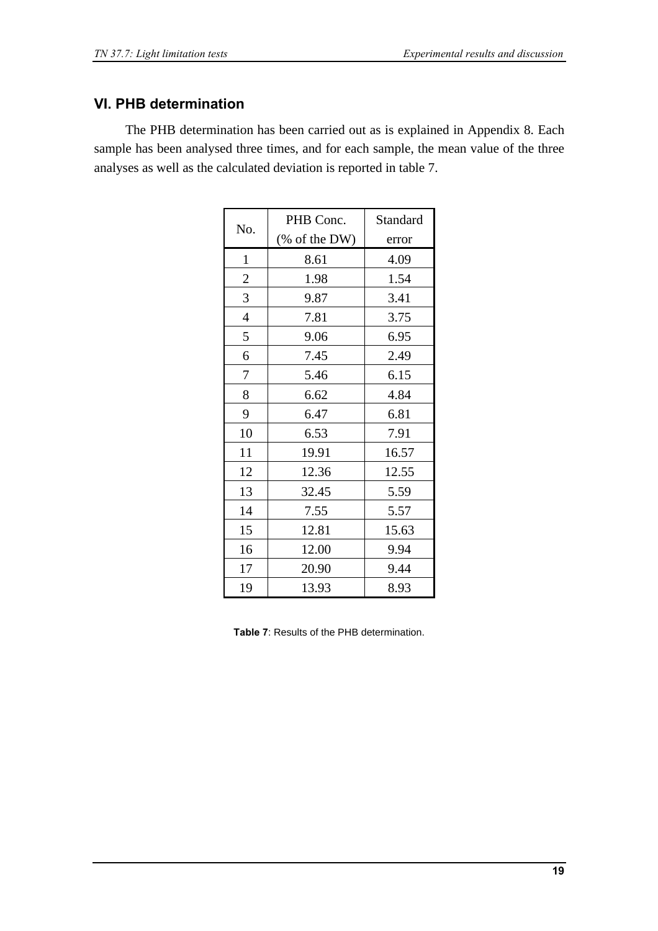### **VI. PHB determination**

The PHB determination has been carried out as is explained in Appendix 8. Each sample has been analysed three times, and for each sample, the mean value of the three analyses as well as the calculated deviation is reported in table 7.

| No.            | PHB Conc.     | Standard |
|----------------|---------------|----------|
|                | (% of the DW) | error    |
| $\mathbf{1}$   | 8.61          | 4.09     |
| $\overline{c}$ | 1.98          | 1.54     |
| 3              | 9.87          | 3.41     |
| $\overline{4}$ | 7.81          | 3.75     |
| 5              | 9.06          | 6.95     |
| 6              | 7.45          | 2.49     |
| 7              | 5.46          | 6.15     |
| 8              | 6.62          | 4.84     |
| 9              | 6.47          | 6.81     |
| 10             | 6.53          | 7.91     |
| 11             | 19.91         | 16.57    |
| 12             | 12.36         | 12.55    |
| 13             | 32.45         | 5.59     |
| 14             | 7.55          | 5.57     |
| 15             | 12.81         | 15.63    |
| 16             | 12.00         | 9.94     |
| 17             | 20.90         | 9.44     |
| 19             | 13.93         | 8.93     |

**Table 7**: Results of the PHB determination.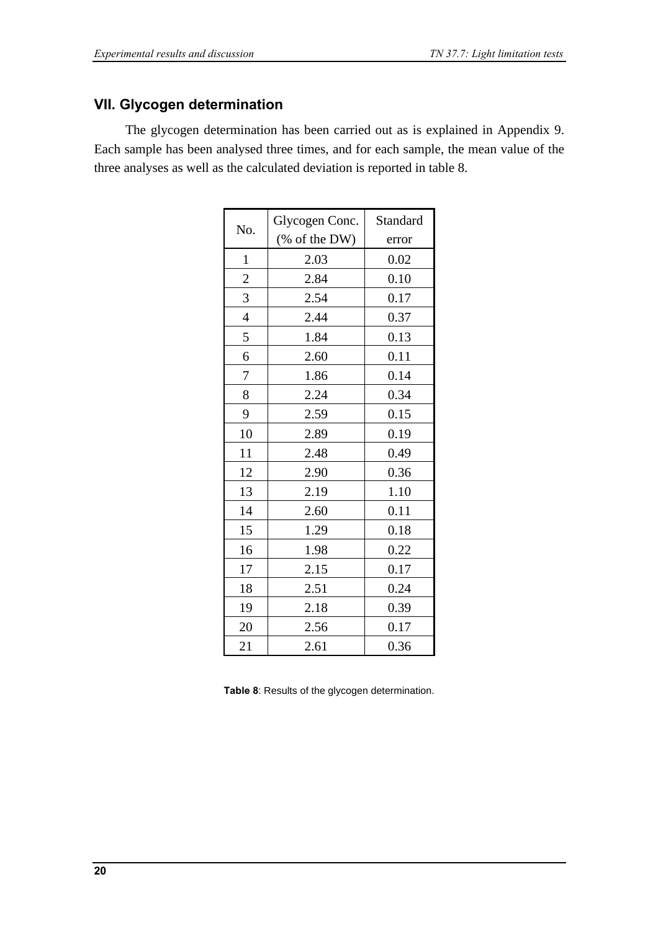### **VII. Glycogen determination**

The glycogen determination has been carried out as is explained in Appendix 9. Each sample has been analysed three times, and for each sample, the mean value of the three analyses as well as the calculated deviation is reported in table 8.

|                | Glycogen Conc. | Standard |
|----------------|----------------|----------|
| No.            | $%$ of the DW) | error    |
| $\mathbf{1}$   | 2.03           | 0.02     |
| $\overline{c}$ | 2.84           | 0.10     |
| 3              | 2.54           | 0.17     |
| $\overline{4}$ | 2.44           | 0.37     |
| 5              | 1.84           | 0.13     |
| 6              | 2.60           | 0.11     |
| 7              | 1.86           | 0.14     |
| 8              | 2.24           | 0.34     |
| 9              | 2.59           | 0.15     |
| 10             | 2.89           | 0.19     |
| 11             | 2.48           | 0.49     |
| 12             | 2.90           | 0.36     |
| 13             | 2.19           | 1.10     |
| 14             | 2.60           | 0.11     |
| 15             | 1.29           | 0.18     |
| 16             | 1.98           | 0.22     |
| 17             | 2.15           | 0.17     |
| 18             | 2.51           | 0.24     |
| 19             | 2.18           | 0.39     |
| 20             | 2.56           | 0.17     |
| 21             | 2.61           | 0.36     |

**Table 8**: Results of the glycogen determination.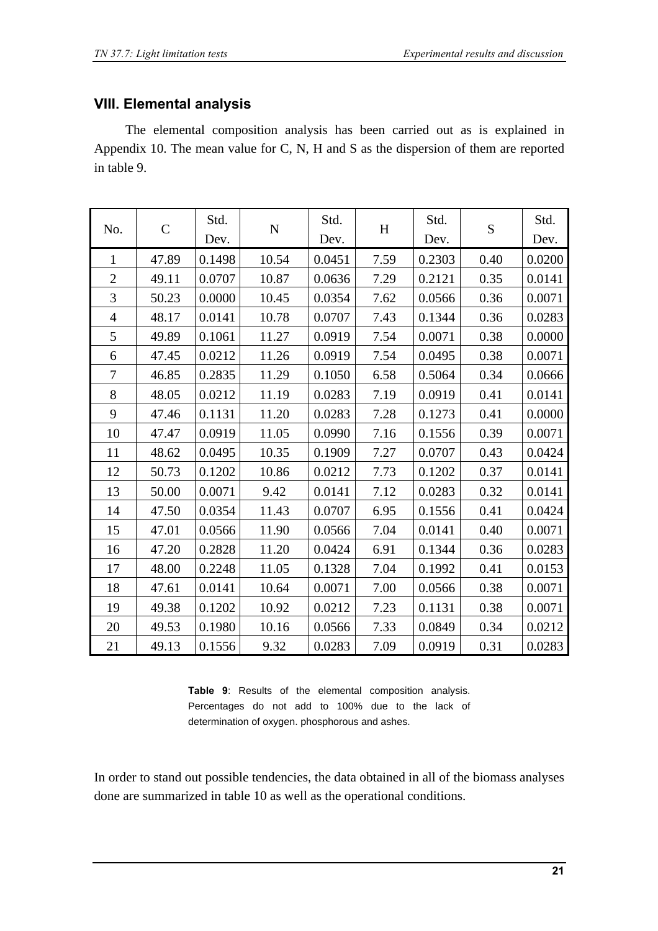### **VIII. Elemental analysis**

The elemental composition analysis has been carried out as is explained in Appendix 10. The mean value for C, N, H and S as the dispersion of them are reported in table 9.

| No.            | $\mathcal{C}$ | Std.<br>Dev. | ${\bf N}$ | Std.<br>Dev. | $H_{\rm}$ | Std.<br>Dev. | S    | Std.<br>Dev. |
|----------------|---------------|--------------|-----------|--------------|-----------|--------------|------|--------------|
| $\mathbf{1}$   | 47.89         | 0.1498       | 10.54     | 0.0451       | 7.59      | 0.2303       | 0.40 | 0.0200       |
| $\mathfrak{2}$ | 49.11         | 0.0707       | 10.87     | 0.0636       | 7.29      | 0.2121       | 0.35 | 0.0141       |
| 3              | 50.23         | 0.0000       | 10.45     | 0.0354       | 7.62      | 0.0566       | 0.36 | 0.0071       |
| $\overline{4}$ | 48.17         | 0.0141       | 10.78     | 0.0707       | 7.43      | 0.1344       | 0.36 | 0.0283       |
| 5              | 49.89         | 0.1061       | 11.27     | 0.0919       | 7.54      | 0.0071       | 0.38 | 0.0000       |
| 6              | 47.45         | 0.0212       | 11.26     | 0.0919       | 7.54      | 0.0495       | 0.38 | 0.0071       |
| 7              | 46.85         | 0.2835       | 11.29     | 0.1050       | 6.58      | 0.5064       | 0.34 | 0.0666       |
| 8              | 48.05         | 0.0212       | 11.19     | 0.0283       | 7.19      | 0.0919       | 0.41 | 0.0141       |
| 9              | 47.46         | 0.1131       | 11.20     | 0.0283       | 7.28      | 0.1273       | 0.41 | 0.0000       |
| 10             | 47.47         | 0.0919       | 11.05     | 0.0990       | 7.16      | 0.1556       | 0.39 | 0.0071       |
| 11             | 48.62         | 0.0495       | 10.35     | 0.1909       | 7.27      | 0.0707       | 0.43 | 0.0424       |
| 12             | 50.73         | 0.1202       | 10.86     | 0.0212       | 7.73      | 0.1202       | 0.37 | 0.0141       |
| 13             | 50.00         | 0.0071       | 9.42      | 0.0141       | 7.12      | 0.0283       | 0.32 | 0.0141       |
| 14             | 47.50         | 0.0354       | 11.43     | 0.0707       | 6.95      | 0.1556       | 0.41 | 0.0424       |
| 15             | 47.01         | 0.0566       | 11.90     | 0.0566       | 7.04      | 0.0141       | 0.40 | 0.0071       |
| 16             | 47.20         | 0.2828       | 11.20     | 0.0424       | 6.91      | 0.1344       | 0.36 | 0.0283       |
| 17             | 48.00         | 0.2248       | 11.05     | 0.1328       | 7.04      | 0.1992       | 0.41 | 0.0153       |
| 18             | 47.61         | 0.0141       | 10.64     | 0.0071       | 7.00      | 0.0566       | 0.38 | 0.0071       |
| 19             | 49.38         | 0.1202       | 10.92     | 0.0212       | 7.23      | 0.1131       | 0.38 | 0.0071       |
| 20             | 49.53         | 0.1980       | 10.16     | 0.0566       | 7.33      | 0.0849       | 0.34 | 0.0212       |
| 21             | 49.13         | 0.1556       | 9.32      | 0.0283       | 7.09      | 0.0919       | 0.31 | 0.0283       |

**Table 9**: Results of the elemental composition analysis. Percentages do not add to 100% due to the lack of determination of oxygen. phosphorous and ashes.

In order to stand out possible tendencies, the data obtained in all of the biomass analyses done are summarized in table 10 as well as the operational conditions.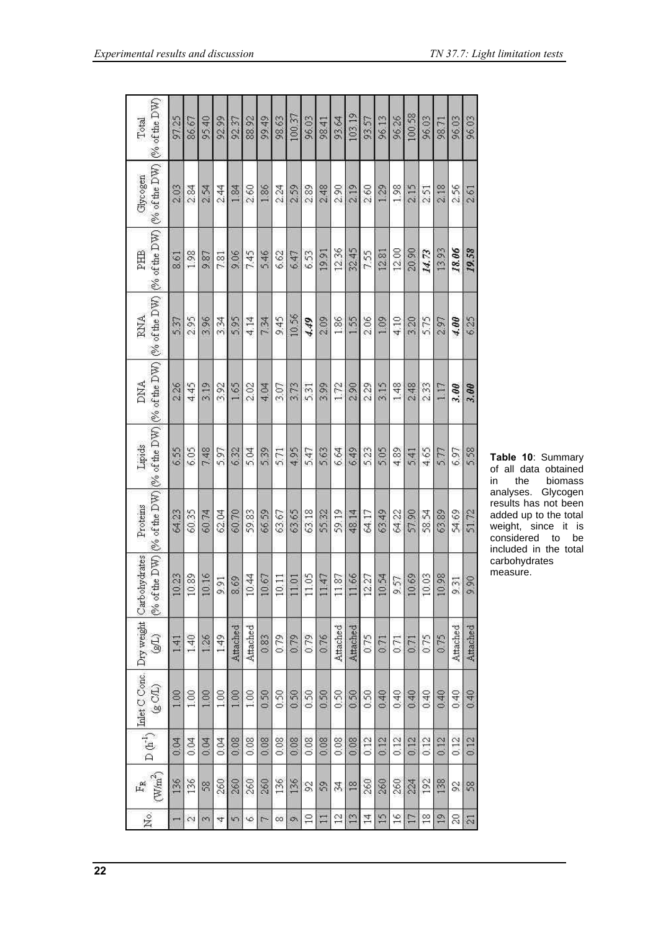| 96.03         | 2.61          | 19.58         | 6.25                                                                          | 3.00       | 5.58   | 51.72    | 9.90                                                                                                                                                                                                                       | Attached | 0.40 | 0.12 | 58                  | $\overline{\mathfrak{D}}$ |
|---------------|---------------|---------------|-------------------------------------------------------------------------------|------------|--------|----------|----------------------------------------------------------------------------------------------------------------------------------------------------------------------------------------------------------------------------|----------|------|------|---------------------|---------------------------|
| 96.03         | 2.56          | 18.06         | 4.00                                                                          | 3.00       | 6.97   | 54.69    | 9.31                                                                                                                                                                                                                       | Attached | 0.40 | 0.12 | Z                   | $\approx$                 |
| 98.71         | 2.18          | 13.93         | 2.97                                                                          | 117        | 577    | 63.89    | 0.98                                                                                                                                                                                                                       | 075      | 0.40 | 0.12 | 138                 | $\frac{9}{11}$            |
| 96.03         | 2.51          | 14.73         | 5.75                                                                          | 233        | 4.65   | 58.54    | 0.03                                                                                                                                                                                                                       | 0.75     | 0.40 | 0.12 | 192                 | $\frac{8}{10}$            |
| 100.58        | 2.15          | 20.90         | 3.20                                                                          | 248        | 541    | 57.90    | 0.69                                                                                                                                                                                                                       | 0.71     | 0.40 | 0.12 | 224                 | $\Box$                    |
| 96.26         | 1.98          | 12.00         | 4.10                                                                          | 1.48       | 4.89   | 64.22    | 9.57                                                                                                                                                                                                                       | 0.71     | 0.40 | 0.12 | 260                 | $\frac{6}{10}$            |
| 96.13         | 129           | 12.81         | 1.09                                                                          | 3.15       | 505    | 63.49    | 0.54                                                                                                                                                                                                                       | 071      | 0.40 | 0.12 | 260                 | $\frac{5}{11}$            |
| 93.57         | 2.60          | 7.55          | 2.06                                                                          | 2.29       | 5.23   | 64.17    | 2.27                                                                                                                                                                                                                       | 0.75     | 0.50 | 0.12 | 260                 | 14                        |
| 103.19        | 2.19          | 32.45         | 1.55                                                                          | 2.90       | 6.49   | 48.14    | 1.66                                                                                                                                                                                                                       | Attached | 0.50 | 0.08 | $\frac{8}{2}$       | $\frac{1}{2}$             |
| 93.64         | 2.90          | 12.36         | 1.86                                                                          | 172        | 6.64   | 59.19    | 1.87                                                                                                                                                                                                                       | Attached | 0.50 | 0.08 | 34                  | $\tilde{c}$               |
| 98.41         | 248           | 19.91         | 2.09                                                                          | 3.99       | 563    | 55.32    | 147                                                                                                                                                                                                                        | 076      | 0.50 | 0.08 | S                   | $\Box$                    |
| 96.03         | 2.89          | 6.53          | 4.49                                                                          | 5.31       | 5.47   | 63.18    | 1.05                                                                                                                                                                                                                       | 0.79     | 0.50 | 0.08 | S                   | $\overline{10}$           |
| 100.37        | 2.59          | 647           | 10.56                                                                         | 3.73       | 4.95   | 63.65    | 1.01                                                                                                                                                                                                                       | 0.79     | 0.50 | 0.08 | 136                 | Ø,                        |
| 98.63         | 2.24          | 6.62          | 9.45                                                                          | 3.07       | 5.71   | 63.67    | 0.11                                                                                                                                                                                                                       | 079      | 0.50 | 0.08 | 136                 | $\infty$                  |
| 99.49         | 1.86          | 546           | 7.34                                                                          | 4.04       | 539    | 66.59    | 0.67                                                                                                                                                                                                                       | 0.83     | 0.50 | 0.08 | 260                 | $\overline{r}$            |
| 88.92         | 2.60          | 7.45          | 4.14                                                                          | 2.02       | 5.04   | 59.83    | 0.44                                                                                                                                                                                                                       | Attached | 1.00 | 0.08 | 260                 | $\circ$                   |
| 92.37         | 1.84          | 9.06          | 5.95                                                                          | 1.65       | 6.32   | 60.70    | 8.69                                                                                                                                                                                                                       | Attached | 1.00 | 0.08 | 260                 | $\sqrt{2}$                |
| 92.99         | 2.44          | 7.81          | 3.34                                                                          | 3.92       | 5.97   | 62.04    | 991                                                                                                                                                                                                                        | 149      | 1.00 | 0.04 | 260                 | 4                         |
| 95.40         | 2.54          | 9.87          | 3.96                                                                          | 3.19       | 7.48   | 60.74    | 0.16                                                                                                                                                                                                                       | 1.26     | 100  | 0.04 | S                   | m                         |
| 86.67         | 284           | 1.98          | 2.95                                                                          | 445        | 6.05   | 60.35    | 0.89                                                                                                                                                                                                                       | 140      | 1.00 | 0.04 | 136                 | $\sim$                    |
| 97.25         | 2.03          | 8.61          | 537                                                                           | 2.26       | 6.55   | 64.23    | 0.23                                                                                                                                                                                                                       | 141      | 1.00 | 0.04 | 136                 |                           |
| (% of the DW) | (% of the DW) | (% of the DW) | (% of the DW) $[%$ of the DW) $[%$ of the DW) $[%$ of the DW) $[%$ of the DW) |            |        |          |                                                                                                                                                                                                                            | HS)      | (2C) |      | (W/m <sup>2</sup> ) | ž.                        |
| Total         | Glycogen      | PHB           | RNA                                                                           | <b>DNA</b> | Lipids | Proteins | $\label{eq:1} \begin{array}{l} \displaystyle {\rm D}\left(b^{-1}\right) \left \frac{\rm Indet\, C\, {\rm Cone}}{\angle\ \sim} \right  \, {\rm Dy\, weight}\, \left \, {\rm Carbo} {\rm by} {\rm drats}\right  \end{array}$ |          |      |      | 區                   |                           |
|               |               |               |                                                                               |            |        |          |                                                                                                                                                                                                                            |          |      |      |                     |                           |

**Table 10**: Summary of all data obtained<br>in the biomass in the biomass analyses. Glycogen results has not been added up to the total weight, since it is considered to be included in the total carbohydrates measure.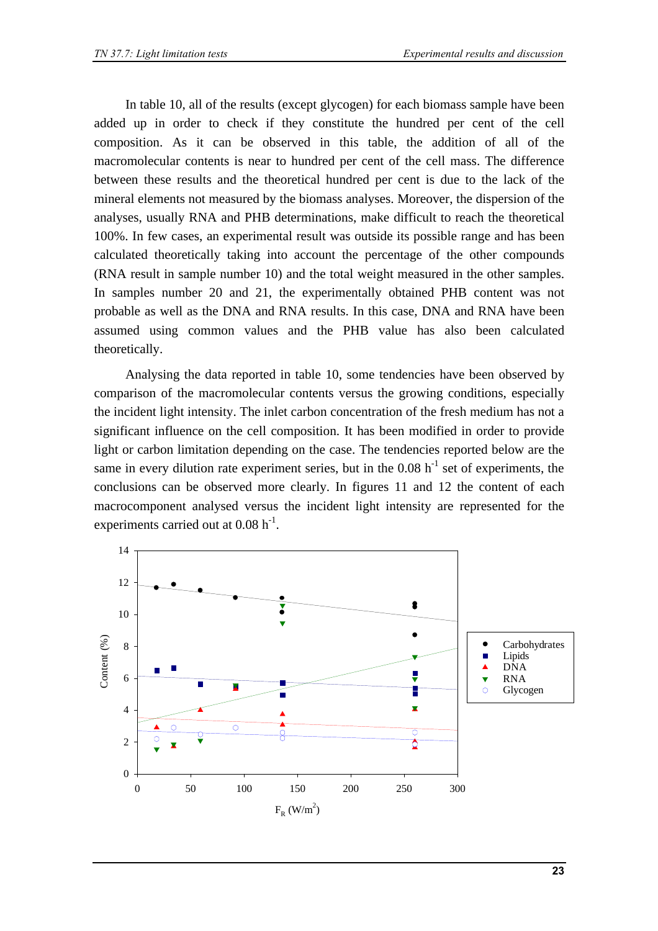In table 10, all of the results (except glycogen) for each biomass sample have been added up in order to check if they constitute the hundred per cent of the cell composition. As it can be observed in this table, the addition of all of the macromolecular contents is near to hundred per cent of the cell mass. The difference between these results and the theoretical hundred per cent is due to the lack of the mineral elements not measured by the biomass analyses. Moreover, the dispersion of the analyses, usually RNA and PHB determinations, make difficult to reach the theoretical 100%. In few cases, an experimental result was outside its possible range and has been calculated theoretically taking into account the percentage of the other compounds (RNA result in sample number 10) and the total weight measured in the other samples. In samples number 20 and 21, the experimentally obtained PHB content was not probable as well as the DNA and RNA results. In this case, DNA and RNA have been assumed using common values and the PHB value has also been calculated theoretically.

Analysing the data reported in table 10, some tendencies have been observed by comparison of the macromolecular contents versus the growing conditions, especially the incident light intensity. The inlet carbon concentration of the fresh medium has not a significant influence on the cell composition. It has been modified in order to provide light or carbon limitation depending on the case. The tendencies reported below are the same in every dilution rate experiment series, but in the  $0.08$  h<sup>-1</sup> set of experiments, the conclusions can be observed more clearly. In figures 11 and 12 the content of each macrocomponent analysed versus the incident light intensity are represented for the experiments carried out at  $0.08 \text{ h}^{-1}$ .

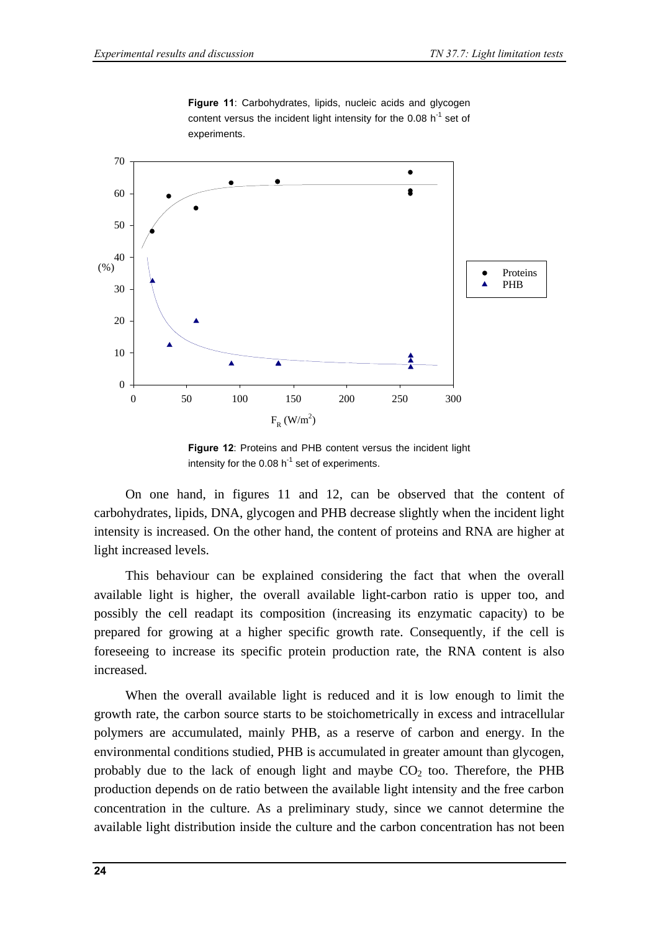

**Figure 11**: Carbohydrates, lipids, nucleic acids and glycogen content versus the incident light intensity for the 0.08  $h^{-1}$  set of experiments.

**Figure 12**: Proteins and PHB content versus the incident light intensity for the 0.08  $h^{-1}$  set of experiments.

On one hand, in figures 11 and 12, can be observed that the content of carbohydrates, lipids, DNA, glycogen and PHB decrease slightly when the incident light intensity is increased. On the other hand, the content of proteins and RNA are higher at light increased levels.

This behaviour can be explained considering the fact that when the overall available light is higher, the overall available light-carbon ratio is upper too, and possibly the cell readapt its composition (increasing its enzymatic capacity) to be prepared for growing at a higher specific growth rate. Consequently, if the cell is foreseeing to increase its specific protein production rate, the RNA content is also increased.

When the overall available light is reduced and it is low enough to limit the growth rate, the carbon source starts to be stoichometrically in excess and intracellular polymers are accumulated, mainly PHB, as a reserve of carbon and energy. In the environmental conditions studied, PHB is accumulated in greater amount than glycogen, probably due to the lack of enough light and maybe  $CO<sub>2</sub>$  too. Therefore, the PHB production depends on de ratio between the available light intensity and the free carbon concentration in the culture. As a preliminary study, since we cannot determine the available light distribution inside the culture and the carbon concentration has not been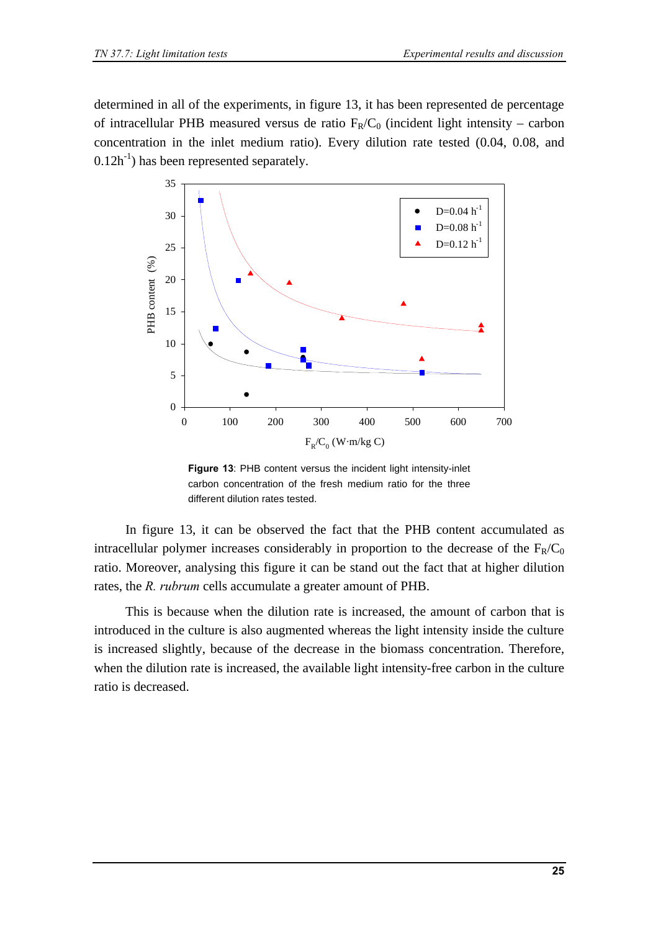determined in all of the experiments, in figure 13, it has been represented de percentage of intracellular PHB measured versus de ratio  $F_R/C_0$  (incident light intensity – carbon concentration in the inlet medium ratio). Every dilution rate tested (0.04, 0.08, and  $0.12h^{-1}$ ) has been represented separately.



**Figure 13**: PHB content versus the incident light intensity-inlet carbon concentration of the fresh medium ratio for the three different dilution rates tested.

In figure 13, it can be observed the fact that the PHB content accumulated as intracellular polymer increases considerably in proportion to the decrease of the  $F_R/C_0$ ratio. Moreover, analysing this figure it can be stand out the fact that at higher dilution rates, the *R. rubrum* cells accumulate a greater amount of PHB.

This is because when the dilution rate is increased, the amount of carbon that is introduced in the culture is also augmented whereas the light intensity inside the culture is increased slightly, because of the decrease in the biomass concentration. Therefore, when the dilution rate is increased, the available light intensity-free carbon in the culture ratio is decreased.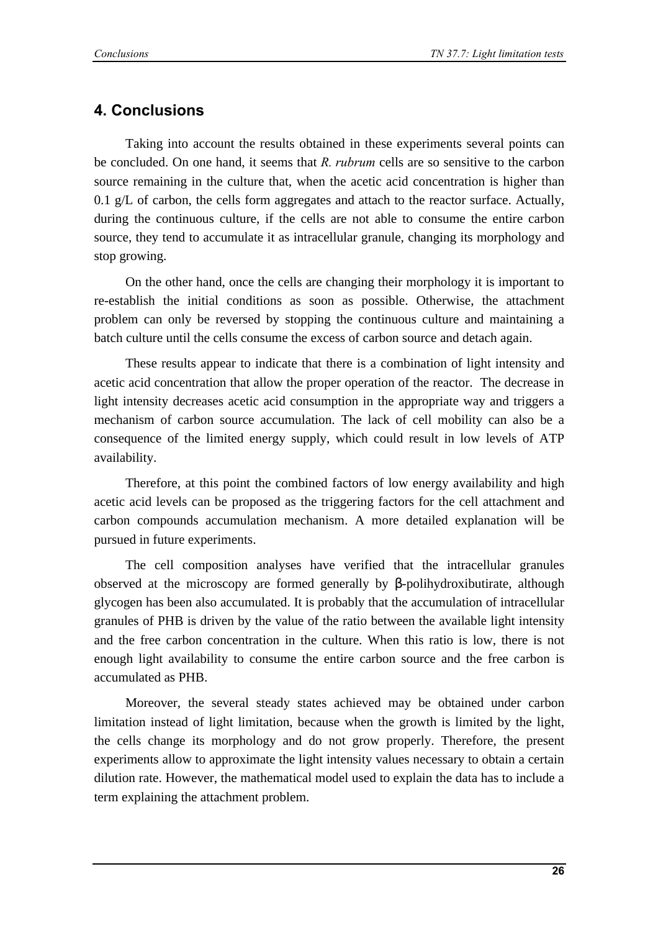### **4. Conclusions**

Taking into account the results obtained in these experiments several points can be concluded. On one hand, it seems that *R. rubrum* cells are so sensitive to the carbon source remaining in the culture that, when the acetic acid concentration is higher than 0.1 g/L of carbon, the cells form aggregates and attach to the reactor surface. Actually, during the continuous culture, if the cells are not able to consume the entire carbon source, they tend to accumulate it as intracellular granule, changing its morphology and stop growing.

On the other hand, once the cells are changing their morphology it is important to re-establish the initial conditions as soon as possible. Otherwise, the attachment problem can only be reversed by stopping the continuous culture and maintaining a batch culture until the cells consume the excess of carbon source and detach again.

These results appear to indicate that there is a combination of light intensity and acetic acid concentration that allow the proper operation of the reactor. The decrease in light intensity decreases acetic acid consumption in the appropriate way and triggers a mechanism of carbon source accumulation. The lack of cell mobility can also be a consequence of the limited energy supply, which could result in low levels of ATP availability.

Therefore, at this point the combined factors of low energy availability and high acetic acid levels can be proposed as the triggering factors for the cell attachment and carbon compounds accumulation mechanism. A more detailed explanation will be pursued in future experiments.

The cell composition analyses have verified that the intracellular granules observed at the microscopy are formed generally by β-polihydroxibutirate, although glycogen has been also accumulated. It is probably that the accumulation of intracellular granules of PHB is driven by the value of the ratio between the available light intensity and the free carbon concentration in the culture. When this ratio is low, there is not enough light availability to consume the entire carbon source and the free carbon is accumulated as PHB.

Moreover, the several steady states achieved may be obtained under carbon limitation instead of light limitation, because when the growth is limited by the light, the cells change its morphology and do not grow properly. Therefore, the present experiments allow to approximate the light intensity values necessary to obtain a certain dilution rate. However, the mathematical model used to explain the data has to include a term explaining the attachment problem.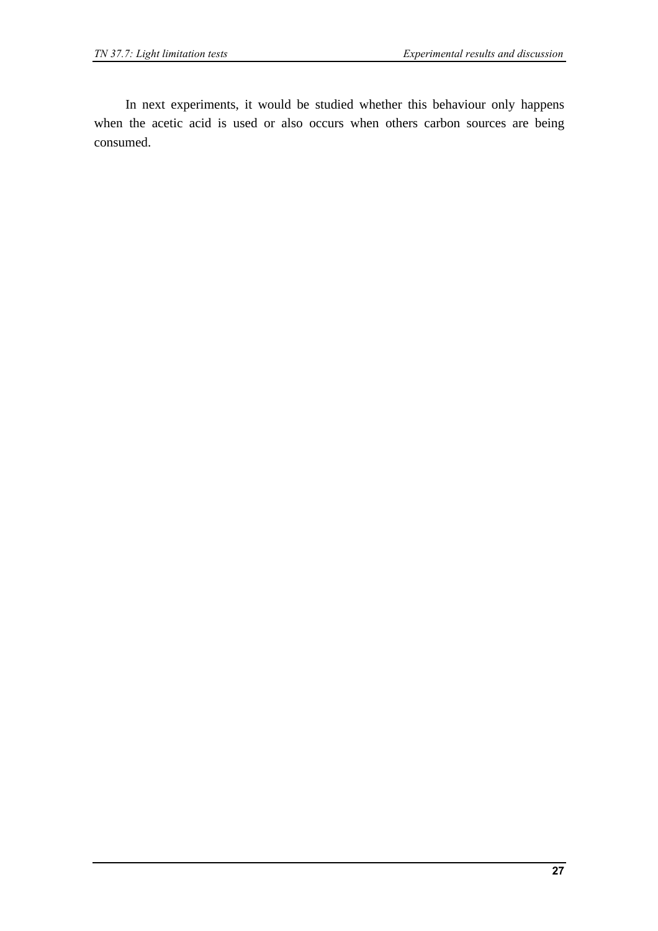In next experiments, it would be studied whether this behaviour only happens when the acetic acid is used or also occurs when others carbon sources are being consumed.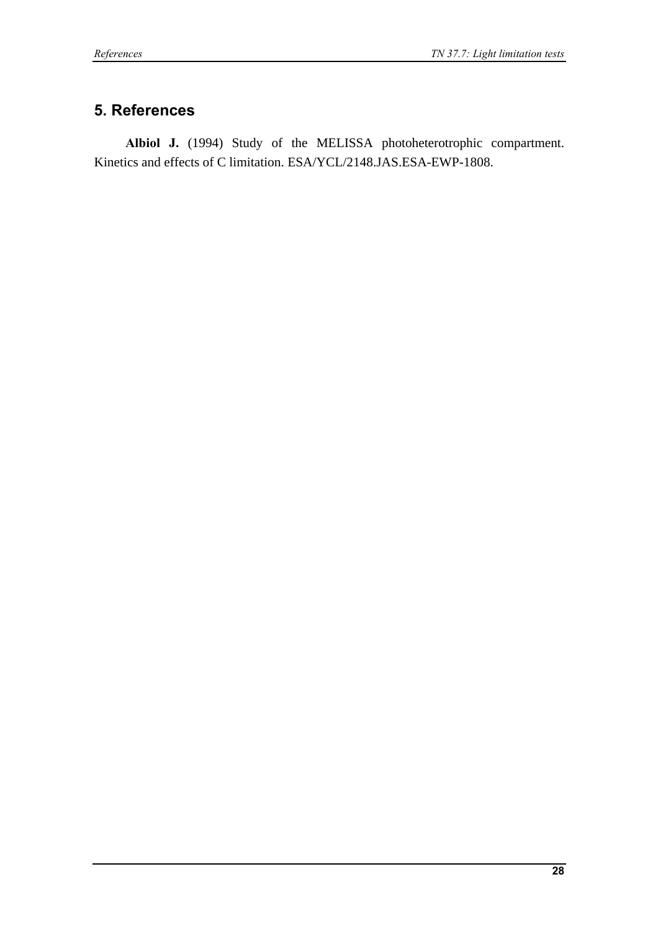### **5. References**

**Albiol J.** (1994) Study of the MELISSA photoheterotrophic compartment. Kinetics and effects of C limitation. ESA/YCL/2148.JAS.ESA-EWP-1808.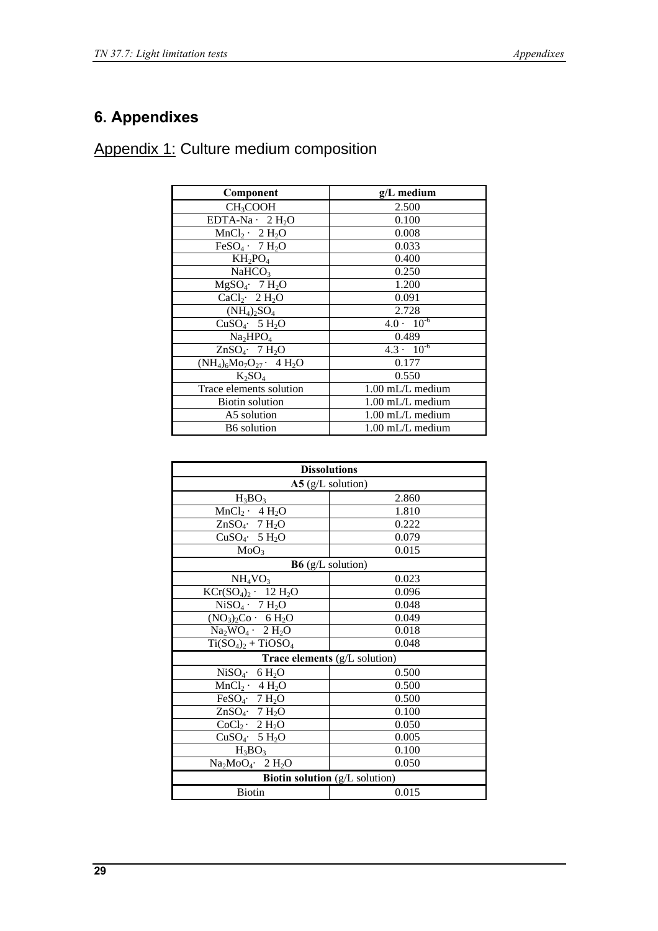# **6. Appendixes**

Appendix 1: Culture medium composition

| Component                                 | g/L medium                     |
|-------------------------------------------|--------------------------------|
| CH <sub>3</sub> COOH                      | 2.500                          |
| EDTA-Na $\cdot$ 2 H <sub>2</sub> O        | 0.100                          |
| $MnCl_2 \cdot 2 H_2O$                     | 0.008                          |
| $FeSO4$ $\cdot$ 7 H <sub>2</sub> O        | 0.033                          |
| $KH_2PO_4$                                | 0.400                          |
| NaHCO <sub>3</sub>                        | 0.250                          |
| $MgSO_4$ 7 H <sub>2</sub> O               | 1.200                          |
| $CaCl2$ 2 H <sub>2</sub> O                | 0.091                          |
| $(NH_4)_2SO_4$                            | 2.728                          |
| CuSO <sub>4</sub> ·5 H <sub>2</sub> O     | $4.0 \cdot 10^{-6}$            |
| Na <sub>2</sub> HPO <sub>4</sub>          | 0.489                          |
| ZnSO <sub>4</sub> . 7 $H_2O$              | $4.3 \cdot \overline{10^{-6}}$ |
| $(NH_4)_6Mo_7O_{27}$ · 4 H <sub>2</sub> O | 0.177                          |
| $K_2SO_4$                                 | 0.550                          |
| Trace elements solution                   | $1.00$ mL/L medium             |
| <b>Biotin solution</b>                    | $1.00$ mL/L medium             |
| A5 solution                               | $1.00 \text{ mL/L}$ medium     |
| <b>B6</b> solution                        | $1.00 \text{ mL/L}$ medium     |

| <b>Dissolutions</b>                          |       |
|----------------------------------------------|-------|
| $A5$ (g/L solution)                          |       |
| $H_3BO_3$                                    | 2.860 |
| $MnCl_2 \cdot 4 H_2O$                        | 1.810 |
| ZnSO <sub>4</sub> $\cdot$ 7 H <sub>2</sub> O | 0.222 |
| CuSO <sub>4</sub> $\cdot$ 5 H <sub>2</sub> O | 0.079 |
| MoO <sub>3</sub>                             | 0.015 |
| $B6$ (g/L solution)                          |       |
| NH <sub>4</sub> VO <sub>3</sub>              | 0.023 |
| $KCr(SO_4)_2$ · 12 H <sub>2</sub> O          | 0.096 |
| $NiSO4 \cdot 7 H2O$                          | 0.048 |
| $(NO3)2Co· 6 H2O$                            | 0.049 |
| $Na2WO4$ $\cdot$ 2 H <sub>2</sub> O          | 0.018 |
| $Ti(SO4)2 + TiOSO4$                          | 0.048 |
| Trace elements (g/L solution)                |       |
| NiSO <sub>4</sub> · 6 H <sub>2</sub> O       | 0.500 |
| $MnCl_2 \cdot 4 H_2O$                        | 0.500 |
| FeSO <sub>4</sub> . $7 H2O$                  | 0.500 |
| ZnSO <sub>4</sub> . 7 H <sub>2</sub> O       | 0.100 |
| $CoCl2$ 2 H <sub>2</sub> O                   | 0.050 |
| CuSO <sub>4</sub> $\cdot$ 5 H <sub>2</sub> O | 0.005 |
| $H_3BO_3$                                    | 0.100 |
| $Na2MoO4$ 2 H <sub>2</sub> O                 | 0.050 |
| Biotin solution (g/L solution)               |       |
| <b>Biotin</b>                                | 0.015 |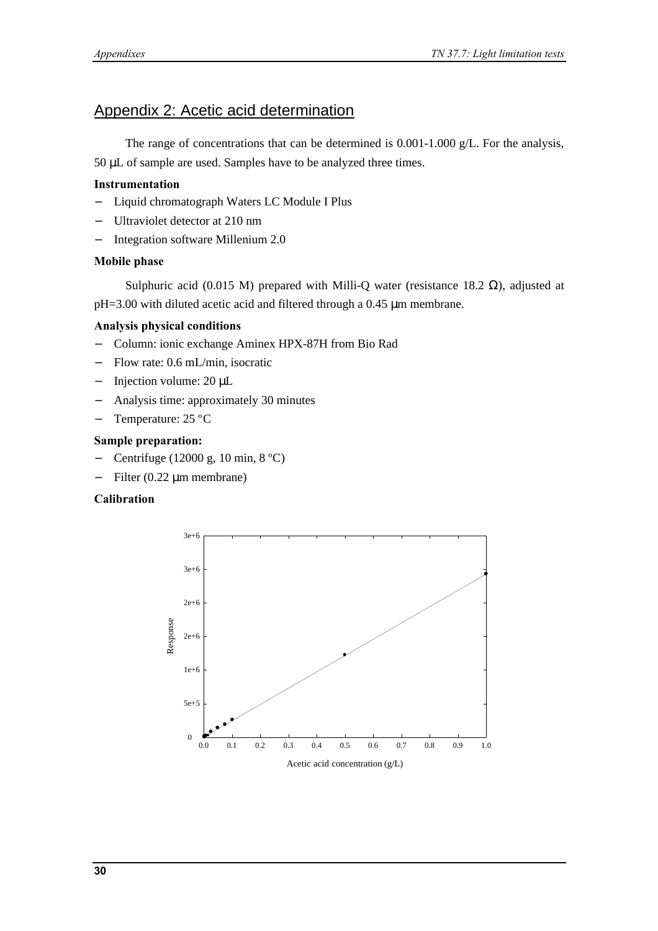### Appendix 2: Acetic acid determination

The range of concentrations that can be determined is 0.001-1.000 g/L. For the analysis, 50 μL of sample are used. Samples have to be analyzed three times.

#### **Instrumentation**

- − Liquid chromatograph Waters LC Module I Plus
- Ultraviolet detector at 210 nm
- − Integration software Millenium 2.0

#### **Mobile phase**

Sulphuric acid (0.015 M) prepared with Milli-Q water (resistance 18.2  $\Omega$ ), adjusted at pH=3.00 with diluted acetic acid and filtered through a 0.45 μm membrane.

#### **Analysis physical conditions**

- − Column: ionic exchange Aminex HPX-87H from Bio Rad
- − Flow rate: 0.6 mL/min, isocratic
- − Injection volume: 20 μL
- − Analysis time: approximately 30 minutes
- − Temperature: 25 ºC

#### **Sample preparation:**

- − Centrifuge (12000 g, 10 min, 8 ºC)
- − Filter (0.22 μm membrane)

#### **Calibration**

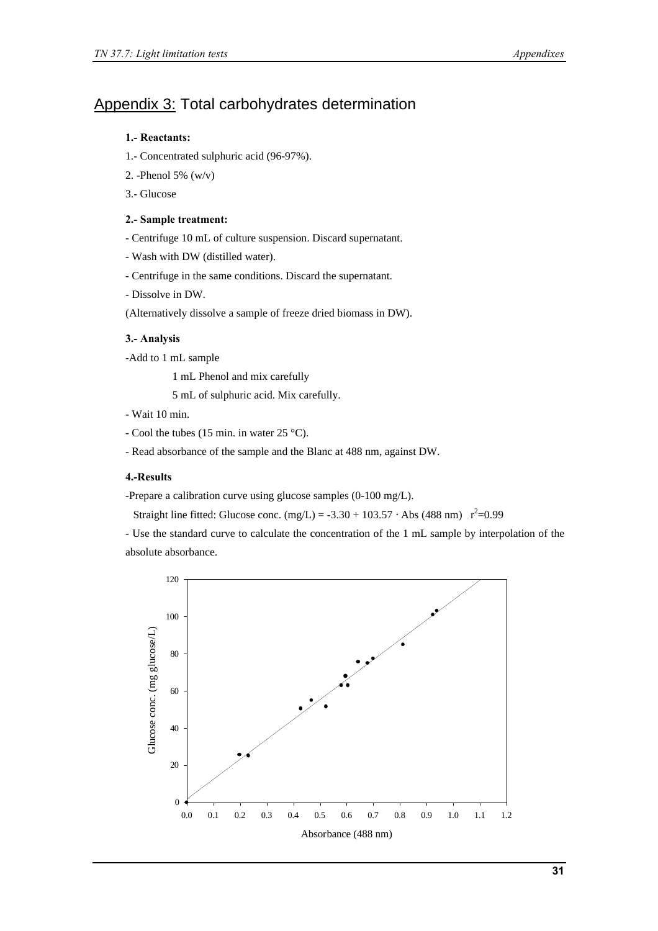### Appendix 3: Total carbohydrates determination

#### **1.- Reactants:**

- 1.- Concentrated sulphuric acid (96-97%).
- 2. -Phenol 5% (w/v)
- 3.- Glucose

#### **2.- Sample treatment:**

- Centrifuge 10 mL of culture suspension. Discard supernatant.
- Wash with DW (distilled water).
- Centrifuge in the same conditions. Discard the supernatant.
- Dissolve in DW.
- (Alternatively dissolve a sample of freeze dried biomass in DW).

#### **3.- Analysis**

-Add to 1 mL sample

1 mL Phenol and mix carefully

5 mL of sulphuric acid. Mix carefully.

- Wait 10 min.
- Cool the tubes (15 min. in water 25 °C).
- Read absorbance of the sample and the Blanc at 488 nm, against DW.

#### **4.-Results**

-Prepare a calibration curve using glucose samples (0-100 mg/L).

Straight line fitted: Glucose conc.  $(mg/L) = -3.30 + 103.57 \cdot \text{Abs} (488 \text{ nm}) \text{ r}^2 = 0.99$ 

- Use the standard curve to calculate the concentration of the 1 mL sample by interpolation of the absolute absorbance.

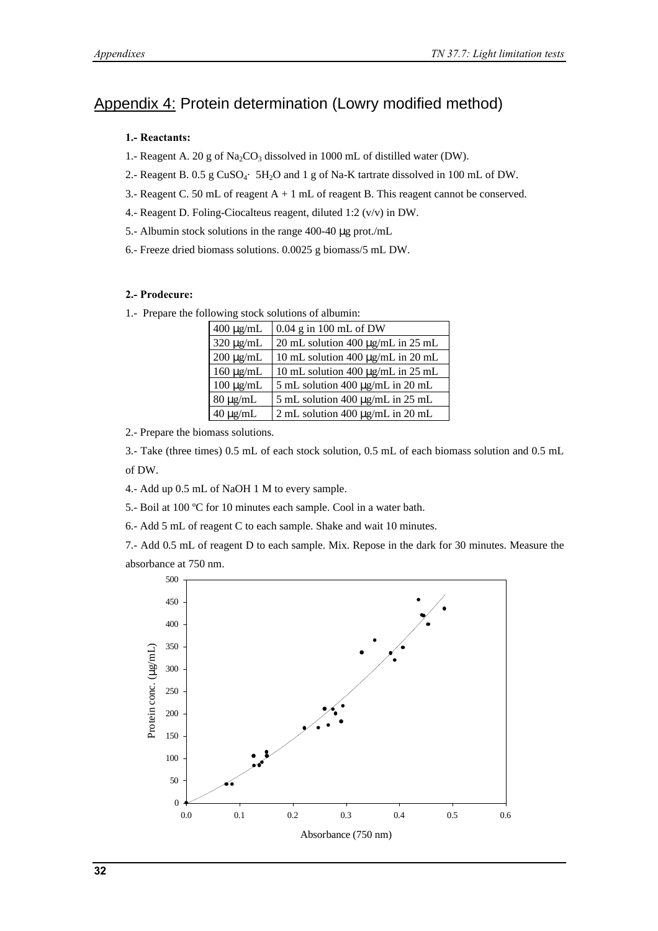### Appendix 4: Protein determination (Lowry modified method)

#### **1.- Reactants:**

- 1.- Reagent A. 20 g of  $\text{Na}_2\text{CO}_3$  dissolved in 1000 mL of distilled water (DW).
- 2.- Reagent B. 0.5 g CuSO<sub>4</sub>· 5H<sub>2</sub>O and 1 g of Na-K tartrate dissolved in 100 mL of DW.
- 3.- Reagent C. 50 mL of reagent A + 1 mL of reagent B. This reagent cannot be conserved.
- 4.- Reagent D. Foling-Ciocalteus reagent, diluted 1:2 (v/v) in DW.
- 5.- Albumin stock solutions in the range 400-40 μg prot./mL
- 6.- Freeze dried biomass solutions. 0.0025 g biomass/5 mL DW.

#### **2.- Prodecure:**

1.- Prepare the following stock solutions of albumin:

| $400 \mu g/mL$ | $0.04$ g in 100 mL of DW                   |
|----------------|--------------------------------------------|
| $320 \mu g/mL$ | 20 mL solution 400 µg/mL in 25 mL          |
| $200 \mu g/mL$ | 10 mL solution 400 μg/mL in 20 mL          |
| $160 \mu g/mL$ | 10 mL solution 400 μg/mL in 25 mL          |
| $100 \mu g/mL$ | 5 mL solution $400 \mu g/mL$ in $20 \mu L$ |
| $80 \mu g/mL$  | 5 mL solution 400 µg/mL in 25 mL           |
| $40 \mu g/mL$  | 2 mL solution 400 µg/mL in 20 mL           |

2.- Prepare the biomass solutions.

3.- Take (three times) 0.5 mL of each stock solution, 0.5 mL of each biomass solution and 0.5 mL of DW.

- 4.- Add up 0.5 mL of NaOH 1 M to every sample.
- 5.- Boil at 100 ºC for 10 minutes each sample. Cool in a water bath.

6.- Add 5 mL of reagent C to each sample. Shake and wait 10 minutes.

7.- Add 0.5 mL of reagent D to each sample. Mix. Repose in the dark for 30 minutes. Measure the absorbance at 750 nm.

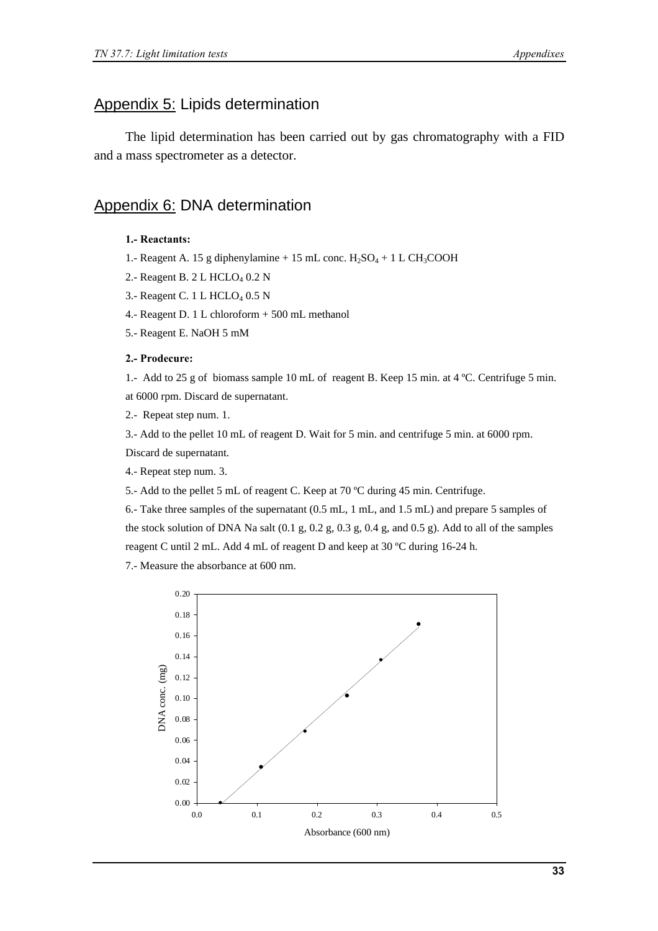### Appendix 5: Lipids determination

The lipid determination has been carried out by gas chromatography with a FID and a mass spectrometer as a detector.

### Appendix 6: DNA determination

#### **1.- Reactants:**

- 1.- Reagent A. 15 g diphenylamine + 15 mL conc.  $H_2SO_4 + 1$  L CH<sub>3</sub>COOH
- 2.- Reagent B.  $2 L$  HCLO<sub>4</sub> 0.2 N
- 3.- Reagent C. 1 L HCLO<sub>4</sub> 0.5 N
- 4.- Reagent D. 1 L chloroform + 500 mL methanol
- 5.- Reagent E. NaOH 5 mM

#### **2.- Prodecure:**

1.- Add to 25 g of biomass sample 10 mL of reagent B. Keep 15 min. at 4 ºC. Centrifuge 5 min. at 6000 rpm. Discard de supernatant.

2.- Repeat step num. 1.

3.- Add to the pellet 10 mL of reagent D. Wait for 5 min. and centrifuge 5 min. at 6000 rpm. Discard de supernatant.

4.- Repeat step num. 3.

5.- Add to the pellet 5 mL of reagent C. Keep at 70 ºC during 45 min. Centrifuge.

6.- Take three samples of the supernatant (0.5 mL, 1 mL, and 1.5 mL) and prepare 5 samples of the stock solution of DNA Na salt  $(0.1 \text{ g}, 0.2 \text{ g}, 0.3 \text{ g}, 0.4 \text{ g}, \text{and } 0.5 \text{ g})$ . Add to all of the samples reagent C until 2 mL. Add 4 mL of reagent D and keep at 30 ºC during 16-24 h.

7.- Measure the absorbance at 600 nm.

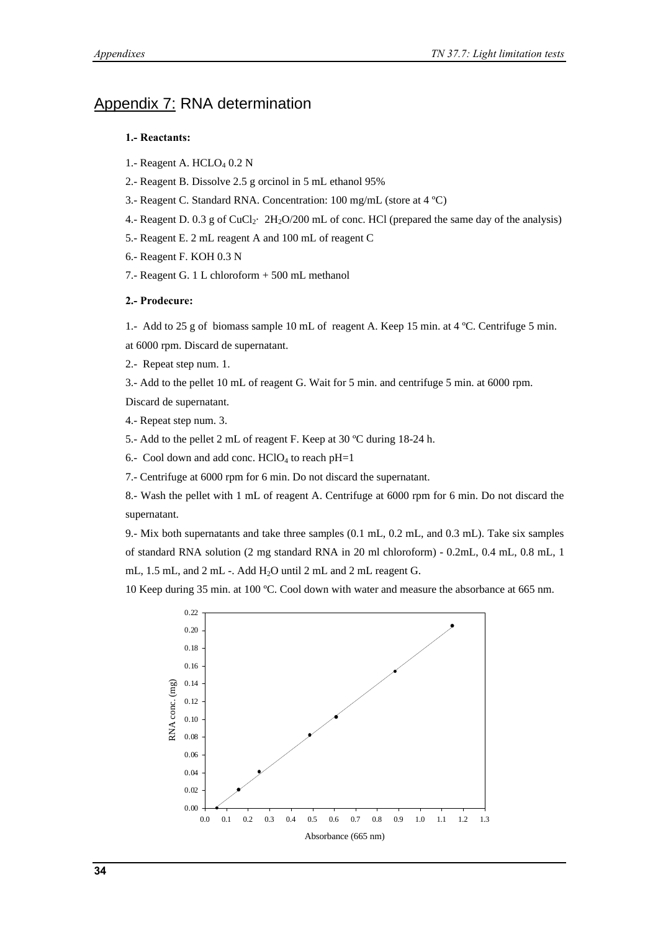### Appendix 7: RNA determination

#### **1.- Reactants:**

- 1.- Reagent A.  $HCLO<sub>4</sub> 0.2 N$
- 2.- Reagent B. Dissolve 2.5 g orcinol in 5 mL ethanol 95%
- 3.- Reagent C. Standard RNA. Concentration: 100 mg/mL (store at 4 ºC)
- 4.- Reagent D. 0.3 g of CuCl<sub>2</sub>·  $2H_2O/200$  mL of conc. HCl (prepared the same day of the analysis)
- 5.- Reagent E. 2 mL reagent A and 100 mL of reagent C
- 6.- Reagent F. KOH 0.3 N
- 7.- Reagent G. 1 L chloroform + 500 mL methanol

#### **2.- Prodecure:**

1.- Add to 25 g of biomass sample 10 mL of reagent A. Keep 15 min. at 4 ºC. Centrifuge 5 min.

at 6000 rpm. Discard de supernatant.

2.- Repeat step num. 1.

3.- Add to the pellet 10 mL of reagent G. Wait for 5 min. and centrifuge 5 min. at 6000 rpm.

Discard de supernatant.

4.- Repeat step num. 3.

5.- Add to the pellet 2 mL of reagent F. Keep at 30 ºC during 18-24 h.

6.- Cool down and add conc.  $HCIO<sub>4</sub>$  to reach  $pH=1$ 

7.- Centrifuge at 6000 rpm for 6 min. Do not discard the supernatant.

8.- Wash the pellet with 1 mL of reagent A. Centrifuge at 6000 rpm for 6 min. Do not discard the supernatant.

9.- Mix both supernatants and take three samples (0.1 mL, 0.2 mL, and 0.3 mL). Take six samples of standard RNA solution (2 mg standard RNA in 20 ml chloroform) - 0.2mL, 0.4 mL, 0.8 mL, 1 mL, 1.5 mL, and 2 mL -. Add H<sub>2</sub>O until 2 mL and 2 mL reagent G.

10 Keep during 35 min. at 100 ºC. Cool down with water and measure the absorbance at 665 nm.

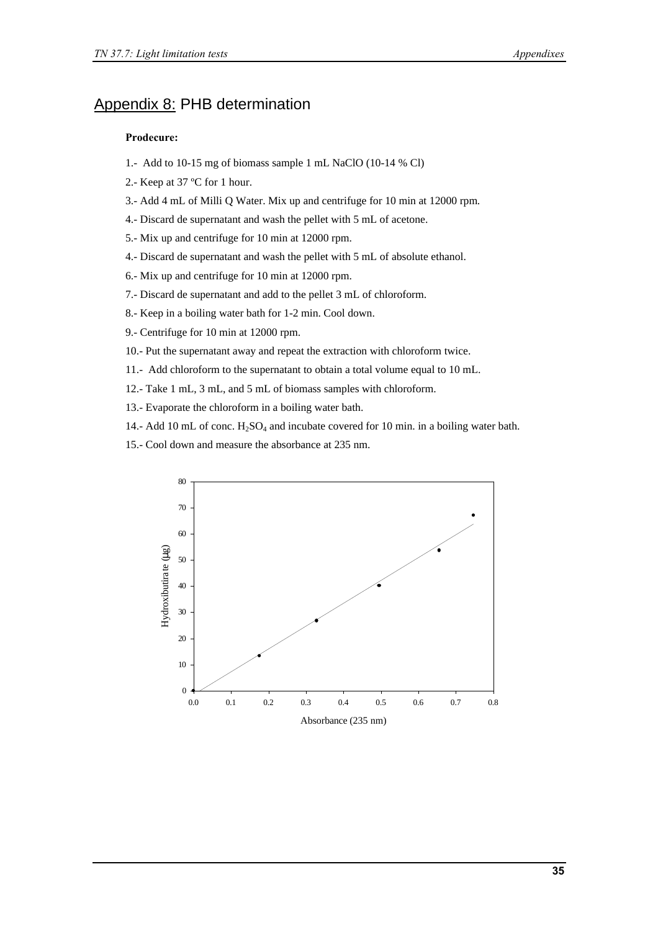### Appendix 8: PHB determination

#### **Prodecure:**

- 1.- Add to 10-15 mg of biomass sample 1 mL NaClO (10-14 % Cl)
- 2.- Keep at 37 ºC for 1 hour.
- 3.- Add 4 mL of Milli Q Water. Mix up and centrifuge for 10 min at 12000 rpm.
- 4.- Discard de supernatant and wash the pellet with 5 mL of acetone.
- 5.- Mix up and centrifuge for 10 min at 12000 rpm.
- 4.- Discard de supernatant and wash the pellet with 5 mL of absolute ethanol.
- 6.- Mix up and centrifuge for 10 min at 12000 rpm.
- 7.- Discard de supernatant and add to the pellet 3 mL of chloroform.
- 8.- Keep in a boiling water bath for 1-2 min. Cool down.
- 9.- Centrifuge for 10 min at 12000 rpm.
- 10.- Put the supernatant away and repeat the extraction with chloroform twice.
- 11.- Add chloroform to the supernatant to obtain a total volume equal to 10 mL.
- 12.- Take 1 mL, 3 mL, and 5 mL of biomass samples with chloroform.
- 13.- Evaporate the chloroform in a boiling water bath.
- 14.- Add 10 mL of conc.  $H_2SO_4$  and incubate covered for 10 min. in a boiling water bath.
- 15.- Cool down and measure the absorbance at 235 nm.